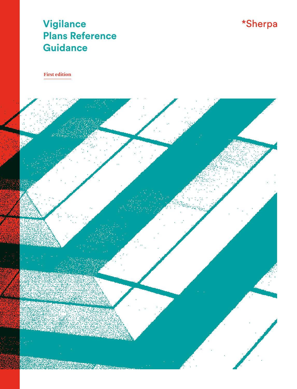

# **Vigilance Plans Reference Guidance**

**First edition**

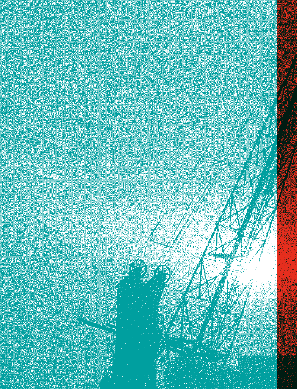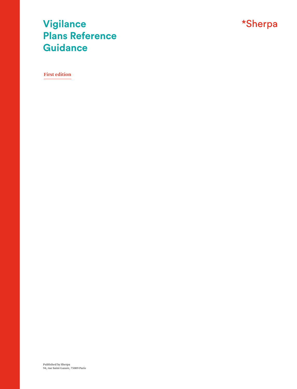# **Vigilance Plans Reference Guidance**



**First edition**

Published by Sherpa 94, rue Saint-Lazare, 75009 Paris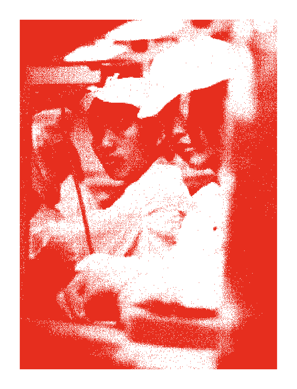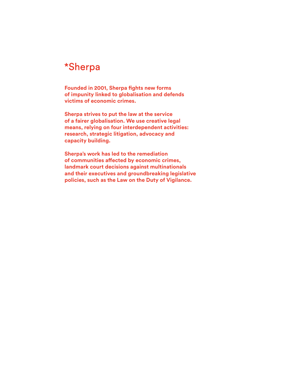# *\*Sherpa*

**Founded in 2001, Sherpa fights new forms of impunity linked to globalisation and defends victims of economic crimes.**

**Sherpa strives to put the law at the service of a fairer globalisation. We use creative legal means, relying on four interdependent activities: research, strategic litigation, advocacy and capacity building.** 

**Sherpa's work has led to the remediation of communities affected by economic crimes, landmark court decisions against multinationals and their executives and groundbreaking legislative policies, such as the Law on the Duty of Vigilance.**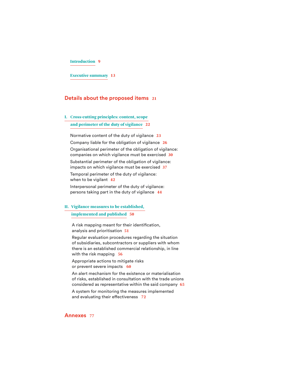#### Introduction 9

Executive summary 13

# **Details about the proposed items** 21

# I. Cross-cutting principles: content, scope and perimeter of the duty of vigilance 22

Normative content of the duty of vigilance 23

Company liable for the obligation of vigilance 26

Organisational perimeter of the obligation of vigilance: companies on which vigilance must be exercised 30

Substantial perimeter of the obligation of vigilance: impacts on which vigilance must be exercised 37

Temporal perimeter of the duty of vigilance: when to be vigilant 42

Interpersonal perimeter of the duty of vigilance: persons taking part in the duty of vigilance 44

### II. Vigilance measures to be established,

# implemented and published 50

A risk mapping meant for their identification, analysis and prioritisation 51

Regular evaluation procedures regarding the situation of subsidiaries, subcontractors or suppliers with whom there is an established commercial relationship, in line with the risk mapping 56

Appropriate actions to mitigate risks or prevent severe impacts 60

An alert mechanism for the existence or materialisation of risks, established in consultation with the trade unions considered as representative within the said company 65

A system for monitoring the measures implemented and evaluating their effectiveness 72

# **Annexes** 77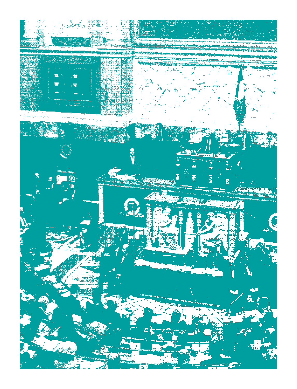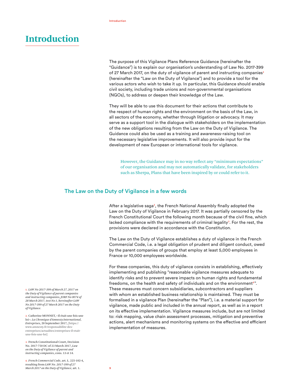# **Introduction**

The purpose of this Vigilance Plans Reference Guidance (hereinafter the "Guidance") is to explain our organisation's understanding of Law No. 2017-399 of 27 March 2017, on the duty of vigilance of parent and instructing companies<sup>1</sup> (hereinafter the "Law on the Duty of Vigilance") and to provide a tool for the various actors who wish to take it up. In particular, this Guidance should enable civil society, including trade unions and non-governmental organisations (NGOs), to address or deepen their knowledge of the Law.

They will be able to use this document for their actions that contribute to the respect of human rights and the environment on the basis of the Law, in all sectors of the economy, whether through litigation or advocacy. It may serve as a support tool in the dialogue with stakeholders on the implementation of the new obligations resulting from the Law on the Duty of Vigilance. The Guidance could also be used as a training and awareness-raising tool on the necessary legislative improvements. It will also provide input for the development of new European or international tools for vigilance.

However, the Guidance may in no way reflect any "minimum expectations" of our organisation and may not automatically validate, for stakeholders such as Sherpa, Plans that have been inspired by or could refer to it.

# The Law on the Duty of Vigilance in a few words

After a legislative saga<sup>2</sup>, the French National Assembly finally adopted the Law on the Duty of Vigilance in February 2017. It was partially censored by the French Constitutional Court the following month because of the civil fine, which lacked compliance with the requirements of criminal legality<sup>3</sup>. For the rest, the provisions were declared in accordance with the Constitution.

The Law on the Duty of Vigilance establishes a duty of vigilance in the French Commercial Code, i.e. a legal obligation of prudent and diligent conduct, owed by the parent companies of groups that employ at least 5,000 employees in France or 10,000 employees worldwide.

For these companies, this duty of vigilance consists in establishing, effectively implementing and publishing "reasonable vigilance measures adequate to identify risks and to prevent severe impacts on human rights and fundamental freedoms, on the health and safety of individuals and on the environment<sup>4</sup>". These measures must concern subsidiaries, subcontractors and suppliers with whom an established business relationship is maintained. They must be formalised in a vigilance Plan (hereinafter the "Plan"), i.e. a material support for vigilance, made public and included in the annual report, as well as in a report on its effective implementation. Vigilance measures include, but are not limited to: risk mapping, value chain assessment processes, mitigation and preventive actions, alert mechanisms and monitoring systems on the effective and efficient implementation of measures.

1. *LAW No 2017-399 of March 27, 2017 on the Duty of Vigilance of parent companies and instructing companies, JORF No 0074 of 28 March 2017, text No 1, hereinafter LAW No 2017-399 of 27 March 2017 on the Duty of Vigilance.*

2. Catherine MONNET, «Il était une fois une loi». *La Chronique d'Amnesty International, Entreprises*, 20 September 2017, [\[https://](https://www.amnesty.fr/responsabilite-des-entreprises/actualites/entreprises-il-etait-une-fois-une-loi) [www.amnesty.fr/responsabilite-des](https://www.amnesty.fr/responsabilite-des-entreprises/actualites/entreprises-il-etait-une-fois-une-loi)[entreprises/actualites/entreprises-il-etait](https://www.amnesty.fr/responsabilite-des-entreprises/actualites/entreprises-il-etait-une-fois-une-loi)[une-fois-une-loi\]](https://www.amnesty.fr/responsabilite-des-entreprises/actualites/entreprises-il-etait-une-fois-une-loi) 

3. French Constitutional Court, Decision No. 2017-750 DC of 23 March 2017, *Law on the Duty of Vigilance of parent and instructing companies*, cons. 13 et 14.

4. *French Commercial Code*, art. L. 225-102-4, resulting from *LAW No. 2017-399 of 27 March 2017 on the Duty of Vigilance,* art. 1.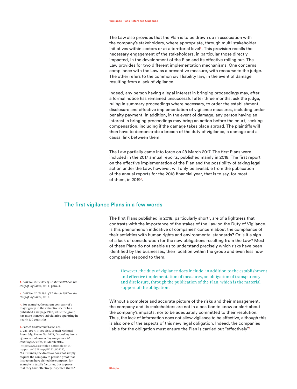The Law also provides that the Plan is to be drawn up in association with the company's stakeholders, where appropriate, through multi-stakeholder initiatives within sectors or at a territorial level<sup>5</sup>. This provision recalls the necessary engagement of the stakeholders, in particular those directly impacted, in the development of the Plan and its effective rolling out. The Law provides for two different implementation mechanisms. One concerns compliance with the Law as a preventive measure, with recourse to the judge. The other refers to the common civil liability law, in the event of damage resulting from a lack of vigilance.

Indeed, any person having a legal interest in bringing proceedings may, after a formal notice has remained unsuccessful after three months, ask the judge, ruling in summary proceedings where necessary, to order the establishment, disclosure and effective implementation of vigilance measures, including under penalty payment. In addition, in the event of damage, any person having an interest in bringing proceedings may bring an action before the court, seeking compensation, including if the damage takes place abroad. The plaintiffs will then have to demonstrate a breach of the duty of vigilance, a damage and a causal link between them.

The Law partially came into force on 28 March 2017. The first Plans were included in the 2017 annual reports, published mainly in 2018. The first report on the effective implementation of the Plan and the possibility of taking legal action under the Law, however, will only be available from the publication of the annual reports for the 2018 financial year, that is to say, for most of them, in 2019<sup>6</sup>.

# The first vigilance Plans in a few words

The first Plans published in 2018, particularly short<sup>7</sup>, are of a lightness that contrasts with the importance of the stakes of the Law on the Duty of Vigilance. Is this phenomenon indicative of companies' concern about the compliance of their activities with human rights and environmental standards? Or is it a sign of a lack of consideration for the new obligations resulting from the Law? Most of these Plans do not enable us to understand precisely which risks have been identified by the businesses, their location within the group and even less how companies respond to them.

However, the duty of vigilance does include, in addition to the establishment and effective implementation of measures, an obligation of transparency and disclosure, through the publication of the Plan, which is the material support of the obligation.

Without a complete and accurate picture of the risks and their management, the company and its stakeholders are not in a position to know or alert about the company's impacts, nor to be adequately committed to their resolution. Thus, the lack of information does not allow vigilance to be effective, although this is also one of the aspects of this new legal obligation. Indeed, the companies liable for the obligation must ensure the Plan is carried out "effectively"8.

5. *LAW No. 2017-399 of 27 March 2017 on the Duty of Vigilance*, art. 1, para. 4.

6. *LAW No. 2017-399 of 27 March 2017 on the Duty of Vigilance*, art. 4.

7. For example, the parent company of a major group in the extractive sector has published a six-page Plan, while the group has more than 900 subsidiaries operating in nearly 130 countries.

8. *French Commercial Code*, art. L. 225-102-4.-I; see also, French National Assembly, *Report No. 2628, Duty of Vigilance of parent and instructing companies, M. Dominique Potier*, 11 March 2015, [\[http://www.assemblee-nationale.fr/14/](http://www.assemblee-nationale.fr/14/rapports/r2628.asp#P252_90424) [rapports/r2628.asp#P252\\_90424\]](http://www.assemblee-nationale.fr/14/rapports/r2628.asp#P252_90424), "As it stands, the draft law does not simply require the company to provide proof that inspectors have visited the company, for example in textile factories, but to prove that they have effectively inspected them."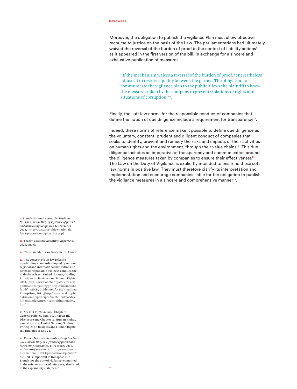Moreover, the obligation to publish the vigilance Plan must allow effective recourse to justice on the basis of the Law. The parliamentarians had ultimately waived the reversal of the burden of proof in the context of liability actions<sup>9</sup>, as it appeared in the first version of the bill, in exchange for a sincere and exhaustive publication of measures.

"If the mechanism waives a reversal of the burden of proof, it nevertheless adjusts it to restore equality between the parties. The obligation to communicate the vigilance plan to the public allows the plaintiff to know the measures taken by the company to prevent violations of rights and situations of corruption<sup>10"</sup>.

Finally, the soft law norms for the responsible conduct of companies that define the notion of due diligence include a requirement for transparency<sup>11</sup>.

Indeed, these norms of reference make it possible to define due diligence as the voluntary, constant, prudent and diligent conduct of companies that seeks to identify, prevent and remedy the risks and impacts of their activities on human rights and the environment, through their value chains<sup>12</sup>. This due diligence includes an imperative of transparency and communication around the diligence measures taken by companies to ensure their effectiveness<sup>13</sup>. The Law on the Duty of Vigilance is explicitly intended to enshrine these soft law norms in positive law. They must therefore clarify its interpretation and implementation and encourage companies liable for the obligation to publish the vigilance measures in a sincere and comprehensive manner<sup>14</sup>.

9. French National Assembly, *Draft law No. 1519, on the Duty of Vigilance of parent and instructing companies*, 6 November 2013, [\[http://www.assemblee-nationale.](http://www.assemblee-nationale.fr/14/propositions/pion1519.asp) [fr/14/propositions/pion1519.asp](http://www.assemblee-nationale.fr/14/propositions/pion1519.asp)]

10. French National Assembly, *Report No. 2628*, op. cit.

11. These standards are listed in the Annex.

12. The concept of soft law refers to non-binding standards adopted by national, regional and international institutions. In terms of responsible business conduct, the main focus is on: United Nations, Guiding Principles on Business and Human Rights, 2011, [\[https://www.ohchr.org/documents/](https://www.ohchr.org/documents/publications/guidingprinciplesbusinesshr_fr.pdf) [publications/guidingprinciplesbusinesshr\\_](https://www.ohchr.org/documents/publications/guidingprinciplesbusinesshr_fr.pdf) [fr.pdf\]](https://www.ohchr.org/documents/publications/guidingprinciplesbusinesshr_fr.pdf); OECD, Guidelines for Multinational Enterprises, 2011, [[http://www.oecd.org/fr/](http://www.oecd.org/fr/daf/inv/mne/principesdirecteursdelocdealintentiondesentreprisesmultinationale) [daf/inv/mne/principesdirecteursdelocdea](http://www.oecd.org/fr/daf/inv/mne/principesdirecteursdelocdealintentiondesentreprisesmultinationale)[lintentiondesentreprisesmultinationales.](http://www.oecd.org/fr/daf/inv/mne/principesdirecteursdelocdealintentiondesentreprisesmultinationale) [htm\]](http://www.oecd.org/fr/daf/inv/mne/principesdirecteursdelocdealintentiondesentreprisesmultinationale)

13. See OECD, *Guidelines*, Chapter II, General Policies, para. 10, Chapter III, Disclosure and Chapter IV, Human Rights, para. 4; see also United Nations, Guiding Principles on Business and Human Rights, II, Principles 16 and 21.

14. French National Assembly, *Draft law No. 2578, on the Duty of Vigilance of parent and instructing companies*, 11 February 2015, explanatory statement, [[http://www.assem](http://www.assemblee-nationale.fr/14/propositions/pion2578.asp)[blee-nationale.fr/14/propositions/pion2578.](http://www.assemblee-nationale.fr/14/propositions/pion2578.asp) [asp\]](http://www.assemblee-nationale.fr/14/propositions/pion2578.asp), "it is important to transpose into French law the duty of vigilance» contained in the soft law norms of reference, also listed in the explanatory statement"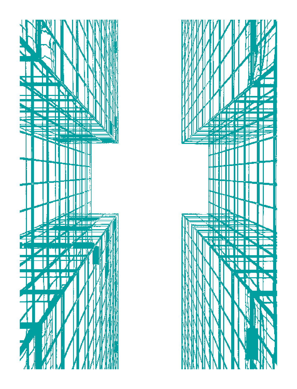

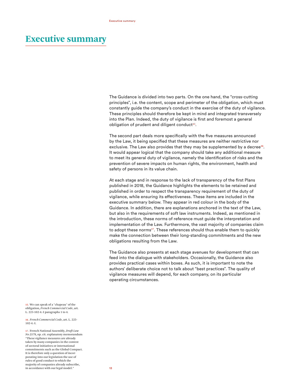# **Executive summary**

The Guidance is divided into two parts. On the one hand, the "cross-cutting principles", i.e. the content, scope and perimeter of the obligation, which must constantly guide the company's conduct in the exercise of the duty of vigilance. These principles should therefore be kept in mind and integrated transversely into the Plan. Indeed, the duty of vigilance is first and foremost a general obligation of prudent and diligent conduct<sup>15</sup>.

The second part deals more specifically with the five measures announced by the Law, it being specified that these measures are neither restrictive nor exclusive. The Law also provides that they may be supplemented by a decree<sup>16</sup>. It would appear logical that the company should take any additional measure to meet its general duty of vigilance, namely the identification of risks and the prevention of severe impacts on human rights, the environment, health and safety of persons in its value chain.

At each stage and in response to the lack of transparency of the first Plans published in 2018, the Guidance highlights the elements to be retained and published in order to respect the transparency requirement of the duty of vigilance, while ensuring its effectiveness. These items are included in the executive summary below. They appear in red colour in the body of the Guidance. In addition, there are explanations anchored in the text of the Law, but also in the requirements of soft law instruments. Indeed, as mentioned in the introduction, these norms of reference must guide the interpretation and implementation of the Law. Furthermore, the vast majority of companies claim to adopt these norms<sup>17</sup>. These references should thus enable them to quickly make the connection between their long-standing commitments and the new obligations resulting from the Law.

The Guidance also presents at each stage avenues for development that can feed into the dialogue with stakeholders. Occasionally, the Guidance also provides practical cases within boxes. As such, it is important to note the authors' deliberate choice not to talk about "best practices". The quality of vigilance measures will depend, for each company, on its particular operating circumstances.

15. We can speak of a "chapeau" of the obligation, *French Commercial Code*, art. L. 225-102-4.-I paragraphs 1 to 4.

16. *French Commercial Code*, art. L. 225- 102-4.-I.

17. French National Assembly, *Draft Law No 257*8, op. cit. explanatory memorandum "These vigilance measures are already taken by many companies in the context of sectoral initiatives or international commitments such as the Global Compact. It is therefore only a question of incorporating into our legislation the use of rules of good conduct to which the majority of companies already subscribe, in accordance with our legal model."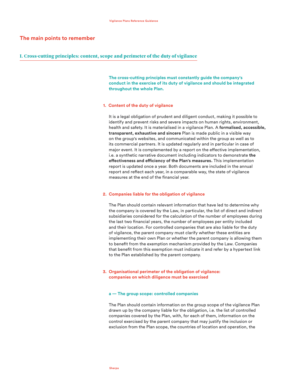# **The main points to remember**

# I. Cross-cutting principles: content, scope and perimeter of the duty of vigilance

**The cross-cutting principles must constantly guide the company's conduct in the exercise of its duty of vigilance and should be integrated throughout the whole Plan.**

#### **1. Content of the duty of vigilance**

It is a legal obligation of prudent and diligent conduct, making it possible to identify and prevent risks and severe impacts on human rights, environment, health and safety. It is materialised in a vigilance Plan. A **formalised, accessible, transparent, exhaustive and sincere** Plan is made public in a visible way on the group's websites, and communicated within the group as well as to its commercial partners. It is updated regularly and in particular in case of major event. It is complemented by a report on the effective implementation, i.e. a synthetic narrative document including indicators to demonstrate **the effectiveness and efficiency of the Plan's measures.** This implementation report is updated once a year. Both documents are included in the annual report and reflect each year, in a comparable way, the state of vigilance measures at the end of the financial year.

#### **2. Companies liable for the obligation of vigilance**

The Plan should contain relevant information that have led to determine why the company is covered by the Law, in particular, the list of direct and indirect subsidiaries considered for the calculation of the number of employees during the last two financial years, the number of employees per entity included and their location. For controlled companies that are also liable for the duty of vigilance, the parent company must clarify whether these entities are implementing their own Plan or whether the parent company is allowing them to benefit from the exemption mechanism provided by the Law. Companies that benefit from this exemption must indicate it and refer by a hypertext link to the Plan established by the parent company.

# **3. Organisational perimeter of the obligation of vigilance: companies on which diligence must be exercised**

#### **a — The group scope: controlled companies**

The Plan should contain information on the group scope of the vigilance Plan drawn up by the company liable for the obligation, i.e. the list of controlled companies covered by the Plan, with, for each of them, information on the control exercised by the parent company that may justify the inclusion or exclusion from the Plan scope, the countries of location and operation, the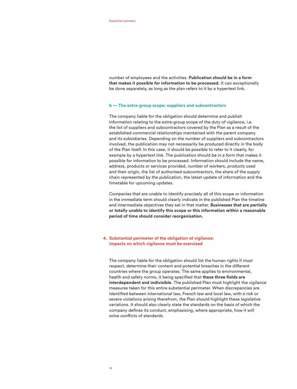number of employees and the activities. **Publication should be in a form that makes it possible for information to be processed.** It can exceptionally be done separately, as long as the plan refers to it by a hypertext link.

## **b — The extra-group scope: suppliers and subcontractors**

The company liable for the obligation should determine and publish information relating to the extra-group scope of the duty of vigilance, i.e. the list of suppliers and subcontractors covered by the Plan as a result of the established commercial relationships maintained with the parent company and its subsidiaries. Depending on the number of suppliers and subcontractors involved, the publication may not necessarily be produced directly in the body of the Plan itself. In this case, it should be possible to refer to it clearly, for example by a hypertext link. The publication should be in a form that makes it possible for information to be processed. Information should include the name, address, products or services provided, number of workers, products used and their origin, the list of authorised subcontractors, the share of the supply chain represented by the publication, the latest update of information and the timetable for upcoming updates.

Companies that are unable to identify precisely all of this scope or information in the immediate term should clearly indicate in the published Plan the timeline and intermediate objectives they set in that matter. **Businesses that are partially or totally unable to identify this scope or this information within a reasonable period of time should consider reorganisation.** 

# **4. Substantial perimeter of the obligation of vigilance: impacts on which vigilance must be exercised**

The company liable for the obligation should list the human rights it must respect, determine their content and potential breaches in the different countries where the group operates. The same applies to environmental, health and safety norms, it being specified that **these three fields are interdependent and indivisible**. The published Plan must highlight the vigilance measures taken for this entire substantial perimeter. When discrepancies are identified between international law, French law and local law, with a risk or severe violations arising therefrom, the Plan should highlight these legislative variations. It should also clearly state the standards on the basis of which the company defines its conduct, emphasising, where appropriate, how it will solve conflicts of standards.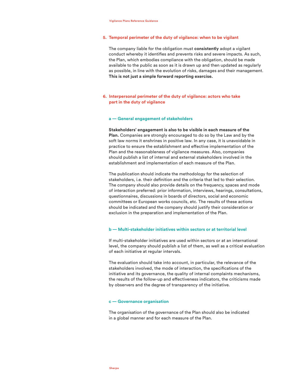#### **5. Temporal perimeter of the duty of vigilance: when to be vigilant**

The company liable for the obligation must **consistently** adopt a vigilant conduct whereby it identifies and prevents risks and severe impacts. As such, the Plan, which embodies compliance with the obligation, should be made available to the public as soon as it is drawn up and then updated as regularly as possible, in line with the evolution of risks, damages and their management. **This is not just a simple forward reporting exercise.**

# **6. Interpersonal perimeter of the duty of vigilance: actors who take part in the duty of vigilance**

#### **a — General engagement of stakeholders**

**Stakeholders' engagement is also to be visible in each measure of the Plan.** Companies are strongly encouraged to do so by the Law and by the soft law norms it enshrines in positive law. In any case, it is unavoidable in practice to ensure the establishment and effective implementation of the Plan and the reasonableness of vigilance measures. Also, companies should publish a list of internal and external stakeholders involved in the establishment and implementation of each measure of the Plan.

The publication should indicate the methodology for the selection of stakeholders, i.e. their definition and the criteria that led to their selection. The company should also provide details on the frequency, spaces and mode of interaction preferred: prior information, interviews, hearings, consultations, questionnaires, discussions in boards of directors, social and economic committees or European works councils, etc. The results of these actions should be indicated and the company should justify their consideration or exclusion in the preparation and implementation of the Plan.

#### **b — Multi-stakeholder initiatives within sectors or at territorial level**

If multi-stakeholder initiatives are used within sectors or at an international level, the company should publish a list of them, as well as a critical evaluation of each initiative at regular intervals.

The evaluation should take into account, in particular, the relevance of the stakeholders involved, the mode of interaction, the specifications of the initiative and its governance, the quality of internal complaints mechanisms, the results of the follow-up and effectiveness indicators, the criticisms made by observers and the degree of transparency of the initiative.

#### **c — Governance organisation**

The organisation of the governance of the Plan should also be indicated in a global manner and for each measure of the Plan.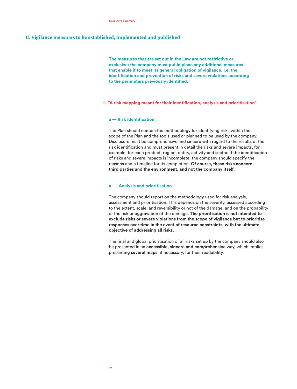# II. Vigilance measures to be established, implemented and published

**The measures that are set out in the Law are not restrictive or exclusive: the company must put in place any additional measures that enable it to meet its general obligation of vigilance, i.e. the identification and prevention of risks and severe violations according to the perimeters previously identified.** 

#### **1. "A risk mapping meant for their identification, analysis and prioritisation"**

#### **a — Risk identification**

The Plan should contain the methodology for identifying risks within the scope of the Plan and the tools used or planned to be used by the company. Disclosure must be comprehensive and sincere with regard to the results of the risk identification and must present in detail the risks and severe impacts, for example, for each product, region, entity, activity and sector. If the identification of risks and severe impacts is incomplete, the company should specify the reasons and a timeline for its completion. **Of course, these risks concern third parties and the environment, and not the company itself.**

#### **a — Analysis and prioritisation**

The company should report on the methodology used for risk analysis, assessment and prioritisation. This depends on the severity, assessed according to the extent, scale, and reversibility or not of the damage, and on the probability of the risk or aggravation of the damage. **The prioritisation is not intended to exclude risks or severe violations from the scope of vigilance but to prioritise responses over time in the event of resource constraints, with the ultimate objective of addressing all risks.**

The final and global prioritisation of all risks set up by the company should also be presented in an **accessible, sincere and comprehensive** way, which implies presenting **several maps**, if necessary, for their readability.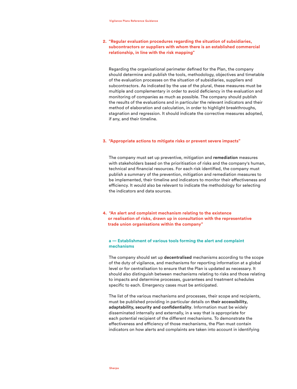# **2. "Regular evaluation procedures regarding the situation of subsidiaries, subcontractors or suppliers with whom there is an established commercial relationship, in line with the risk mapping"**

Regarding the organisational perimeter defined for the Plan, the company should determine and publish the tools, methodology, objectives and timetable of the evaluation processes on the situation of subsidiaries, suppliers and subcontractors. As indicated by the use of the plural, these measures must be multiple and complementary in order to avoid deficiency in the evaluation and monitoring of companies as much as possible. The company should publish the results of the evaluations and in particular the relevant indicators and their method of elaboration and calculation, in order to highlight breakthroughs, stagnation and regression. It should indicate the corrective measures adopted, if any, and their timeline.

#### **3. "Appropriate actions to mitigate risks or prevent severe impacts"**

The company must set up preventive, mitigation and **remediation** measures with stakeholders based on the prioritisation of risks and the company's human, technical and financial resources. For each risk identified, the company must publish a summary of the prevention, mitigation and remediation measures to be implemented, their timeline and indicators to monitor their effectiveness and efficiency. It would also be relevant to indicate the methodology for selecting the indicators and data sources.

**4. "An alert and complaint mechanism relating to the existence or realisation of risks, drawn up in consultation with the representative trade union organisations within the company"**

# **a — Establishment of various tools forming the alert and complaint mechanisms**

The company should set up **decentralised** mechanisms according to the scope of the duty of vigilance, and mechanisms for reporting information at a global level or for centralisation to ensure that the Plan is updated as necessary. It should also distinguish between mechanisms relating to risks and those relating to impacts and determine processes, guarantees and treatment schedules specific to each. Emergency cases must be anticipated.

The list of the various mechanisms and processes, their scope and recipients, must be published providing in particular details on **their accessibility, adaptability, security and confidentiality**. Information must be widely disseminated internally and externally, in a way that is appropriate for each potential recipient of the different mechanisms. To demonstrate the effectiveness and efficiency of those mechanisms, the Plan must contain indicators on how alerts and complaints are taken into account in identifying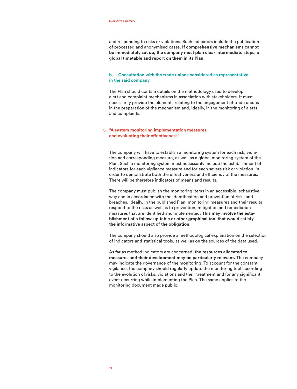and responding to risks or violations. Such indicators include the publication of processed and anonymised cases. **If comprehensive mechanisms cannot be immediately set up, the company must plan clear intermediate steps, a global timetable and report on them in its Plan.**

# **b — Consultation with the trade unions considered as representative in the said company**

The Plan should contain details on the methodology used to develop alert and complaint mechanisms in association with stakeholders. It must necessarily provide the elements relating to the engagement of trade unions in the preparation of the mechanism and, ideally, in the monitoring of alerts and complaints.

# **5. "A system monitoring implementation measures and evaluating their effectiveness"**

The company will have to establish a monitoring system for each risk, violation and corresponding measure, as well as a global monitoring system of the Plan. Such a monitoring system must necessarily include the establishment of indicators for each vigilance measure and for each severe risk or violation, in order to demonstrate both the effectiveness and efficiency of the measures. There will be therefore indicators of means and results.

The company must publish the monitoring items in an accessible, exhaustive way and in accordance with the identification and prevention of risks and breaches. Ideally, in the published Plan, monitoring measures and their results respond to the risks as well as to prevention, mitigation and remediation measures that are identified and implemented. **This may involve the establishment of a follow-up table or other graphical tool that would satisfy the informative aspect of the obligation.**

The company should also provide a methodological explanation on the selection of indicators and statistical tools, as well as on the sources of the data used.

As far as method indicators are concerned, **the resources allocated to measures and their development may be particularly relevant.** The company may indicate the governance of the monitoring. To account for the constant vigilance, the company should regularly update the monitoring tool according to the evolution of risks, violations and their treatment and for any significant event occurring while implementing the Plan. The same applies to the monitoring document made public.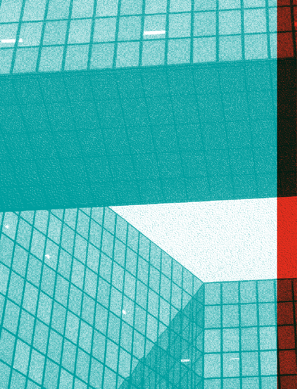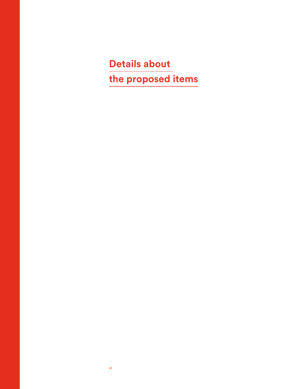**Details about the proposed items**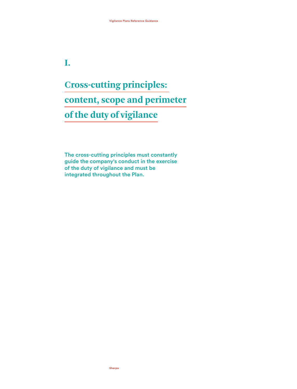**I.** 

# **Cross-cutting principles: content, scope and perimeter of the duty of vigilance**

The cross-cutting principles must constantly guide the company's conduct in the exercise of the duty of vigilance and must be integrated throughout the Plan.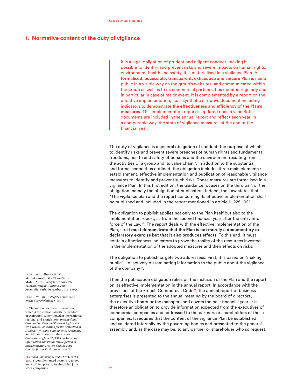# **1. Normative content of the duty of vigilance**

It is a legal obligation of prudent and diligent conduct, making it possible to identify and prevent risks and severe impacts on human rights, environment, health and safety. It is materialised in a vigilance Plan. A **formalised, accessible, transparent, exhaustive and sincere** Plan is made public in a visible way on the group's websites, and communicated within the group as well as to its commercial partners. It is updated regularly and in particular in case of major event. It is complemented by a report on the effective implementation, i.e. a synthetic narrative document including indicators to demonstrate **the effectiveness and efficiency of the Plan's measures**. This implementation report is updated once a year. Both documents are included in the annual report and reflect each year, in a comparable way, the state of vigilance measures at the end of the financial year.

The duty of vigilance is a general obligation of conduct, the purpose of which is to identify risks and prevent severe breaches of human rights and fundamental freedoms, health and safety of persons and the environment resulting from the activities of a group and its value chain<sup>18</sup>. In addition to the substantial and formal scope thus outlined, the obligation includes three main elements : establishment, effective implementation and publication of reasonable vigilance measures to identify and prevent such risks. These measures are formalised in a vigilance Plan. In this first edition, the Guidance focuses on the third part of the obligation, namely the obligation of publication. Indeed, the Law states that "The vigilance plan and the report concerning its effective implementation shall be published and included in the report mentioned in article L. 225-102".

The obligation to publish applies not only to the Plan itself but also to the implementation report, as from the second financial year after the entry into force of the Law<sup>19</sup>. The report deals with the effective implementation of the Plan, i.e. **it must demonstrate that the Plan is not merely a documentary or declaratory exercise but that it also produces effects**. To this end, it must contain effectiveness indicators to prove the reality of the resources invested in the implementation of the adopted measures and their effects on risks.

The obligation to publish targets two addressees. First, it is based on "making public", i.e. actively disseminating information to the public about the vigilance of the company<sup>20</sup>.

Then the publication obligation relies on the inclusion of the Plan and the report on its effective implementation in the annual report. In accordance with the provisions of the French Commercial Code $2<sup>1</sup>$ , the annual report of business enterprises is presented to the annual meeting by the board of directors, the executive board or the managers and covers the past financial year. It is therefore an obligation to provide information expected from the executives of commercial companies and addressed to the partners or shareholders of these companies. It requires that the content of the vigilance Plan be established and validated internally by the governing bodies and presented to the general assembly and, as the case may be, to any partner or shareholder who so request.

18. Marie-Caroline CAILLET, Marie-Laure GUISLAIN and Tamsin MALBRAND, «La vigilance sociétale en droit français », *Ritimo, coll. Passerelle*, Paris, December 2016, 110 p.

19. *LAW No. 2017-399 of 27 March 2017 on the duty of vigilance,* art. 4.

20. The right of access to information, which is consubstantial with the freedom of expression, is mentioned in international, regional and French laws: *International Covenant on Civil and Political Rights, Art. 19, para. 2; Convention for the Protection of Human Rights and Fundamental Freedoms*, Art. 10 para. 1; see also the *Aarhus Convention of June 25, 1998 on Access to Information and Public Participation in Environmental Matters and the 2004 Charter for the Environment*, Art. 7.

21. *French Commercial Code,* Art. L. 232-1, para. 1, complemented by Art. L. 225-100 and L. 227-1, para. 2, for simplified joint stock companies.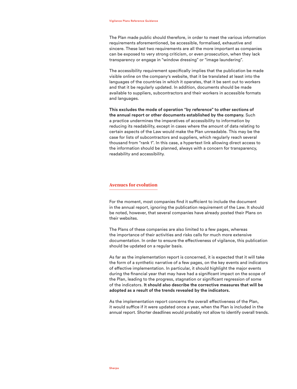The Plan made public should therefore, in order to meet the various information requirements aforementioned, be accessible, formalised, exhaustive and sincere. These last two requirements are all the more important as companies can be exposed to very strong criticism, or even prosecution, when they lack transparency or engage in "window dressing" or "image laundering".

The accessibility requirement specifically implies that the publication be made visible online on the company's website, that it be translated at least into the languages of the countries in which it operates, that it be sent out to workers and that it be regularly updated. In addition, documents should be made available to suppliers, subcontractors and their workers in accessible formats and languages.

**This excludes the mode of operation "by reference" to other sections of the annual report or other documents established by the company.** Such a practice undermines the imperatives of accessibility to information by reducing its readability, except in cases where the amount of data relating to certain aspects of the Law would make the Plan unreadable. This may be the case for lists of subcontractors and suppliers, which regularly reach several thousand from "rank 1". In this case, a hypertext link allowing direct access to the information should be planned, always with a concern for transparency, readability and accessibility.

# Avenues for evolution

For the moment, most companies find it sufficient to include the document in the annual report, ignoring the publication requirement of the Law. It should be noted, however, that several companies have already posted their Plans on their websites.

The Plans of these companies are also limited to a few pages, whereas the importance of their activities and risks calls for much more extensive documentation. In order to ensure the effectiveness of vigilance, this publication should be updated on a regular basis.

As far as the implementation report is concerned, it is expected that it will take the form of a synthetic narrative of a few pages, on the key events and indicators of effective implementation. In particular, it should highlight the major events during the financial year that may have had a significant impact on the scope of the Plan, leading to the progress, stagnation or significant regression of some of the indicators. **It should also describe the corrective measures that will be adopted as a result of the trends revealed by the indicators.**

As the implementation report concerns the overall effectiveness of the Plan, it would suffice if it were updated once a year, when the Plan is included in the annual report. Shorter deadlines would probably not allow to identify overall trends.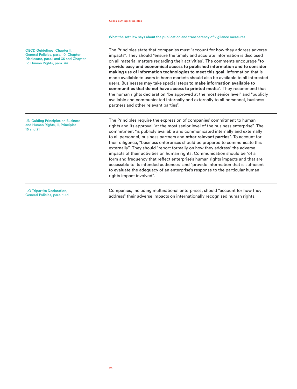# What the soft law says about the publication and transparency of vigilance measures

| <b>OECD Guidelines, Chapter II,</b><br>General Policies, para. 10, Chapter III,<br>Disclosure, para.1 and 35 and Chapter<br>IV, Human Rights, para. 44 | The Principles state that companies must "account for how they address adverse<br>impacts". They should "ensure the timely and accurate information is disclosed<br>on all material matters regarding their activities". The comments encourage "to<br>provide easy and economical access to published information and to consider<br>making use of information technologies to meet this goal. Information that is<br>made available to users in home markets should also be available to all interested<br>users. Businesses may take special steps to make information available to<br>communities that do not have access to printed media". They recommend that<br>the human rights declaration "be approved at the most senior level" and "publicly<br>available and communicated internally and externally to all personnel, business<br>partners and other relevant parties". |
|--------------------------------------------------------------------------------------------------------------------------------------------------------|---------------------------------------------------------------------------------------------------------------------------------------------------------------------------------------------------------------------------------------------------------------------------------------------------------------------------------------------------------------------------------------------------------------------------------------------------------------------------------------------------------------------------------------------------------------------------------------------------------------------------------------------------------------------------------------------------------------------------------------------------------------------------------------------------------------------------------------------------------------------------------------|
| <b>UN Guiding Principles on Business</b><br>and Human Rights, II, Principles<br>16 and 21                                                              | The Principles require the expression of companies' commitment to human<br>rights and its approval "at the most senior level of the business enterprise". The<br>commitment "is publicly available and communicated internally and externally<br>to all personnel, business partners and other relevant parties". To account for<br>their diligence, "business enterprises should be prepared to communicate this<br>externally". They should "report formally on how they address" the adverse<br>impacts of their activities on human rights. Communication should be "of a<br>form and frequency that reflect enterprise's human rights impacts and that are<br>accessible to its intended audiences" and "provide information that is sufficient<br>to evaluate the adequacy of an enterprise's response to the particular human<br>rights impact involved".                      |
| ILO Tripartite Declaration,<br>General Policies, para. 10.d                                                                                            | Companies, including multinational enterprises, should "account for how they<br>address" their adverse impacts on internationally recognised human rights.                                                                                                                                                                                                                                                                                                                                                                                                                                                                                                                                                                                                                                                                                                                            |

25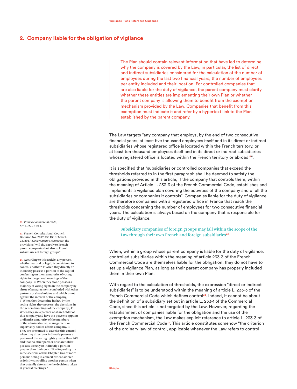# **2. Company liable for the obligation of vigilance**

The Plan should contain relevant information that have led to determine why the company is covered by the Law, in particular, the list of direct and indirect subsidiaries considered for the calculation of the number of employees during the last two financial years, the number of employees per entity included and their location. For controlled companies that are also liable for the duty of vigilance, the parent company must clarify whether these entities are implementing their own Plan or whether the parent company is allowing them to benefit from the exemption mechanism provided by the Law. Companies that benefit from this exemption must indicate it and refer by a hypertext link to the Plan established by the parent company.

The Law targets "any company that employs, by the end of two consecutive financial years, at least five thousand employees itself and in its direct or indirect subsidiaries whose registered office is located within the French territory, or at least ten thousand employees itself and in its direct or indirect subsidiaries whose registered office is located within the French territory or abroad<sup>22"</sup>.

It is specified that "subsidiaries or controlled companies that exceed the thresholds referred to in the first paragraph shall be deemed to satisfy the obligations provided in this article, if the company that controls them, within the meaning of Article L. 233-3 of the French Commercial Code, establishes and implements a vigilance plan covering the activities of the company and of all the subsidiaries or companies it controls". Companies liable for the duty of vigilance are therefore companies with a registered office in France that reach the thresholds concerning the number of employees for two consecutive financial years. The calculation is always based on the company that is responsible for the duty of vigilance.

Subsidiary companies of foreign groups may fall within the scope of the Law through their own French and foreign subsidiaries<sup>23</sup>.

When, within a group whose parent company is liable for the duty of vigilance, controlled subsidiaries within the meaning of article 233-3 of the French Commercial Code are themselves liable for the obligation, they do not have to set up a vigilance Plan, as long as their parent company has properly included them in their own Plan.

With regard to the calculation of thresholds, the expression "direct or indirect subsidiaries" is to be understood within the meaning of article L. 233-3 of the French Commercial Code which defines control $^{24}$ . Indeed, it cannot be about the definition of a subsidiary set out in article L. 233-1 of the Commercial Code, since this article is not targeted by the Law. However, regarding the establishment of companies liable for the obligation and the use of the exemption mechanism, the Law makes explicit reference to article L. 233-3 of the French Commercial Code<sup>25</sup>. This article constitutes somehow "the criterion of the ordinary law of control, applicable whenever the Law refers to control

22. *French Commercial Code,*  Art. L. 225-102-4. -I

23. French Constitutional Council, Decision No. 2017-750 DC of March 23, 2017, *Government's comments*; the provisions "will thus apply to French parent companies but also to French subsidiaries of foreign groups".

24. According to this article, any person, whether natural or legal, is considered to control another "1° When they directly or indirectly possess a portion of the capital conferring on them a majority of voting rights in the general meetings of the company ; 2° When they alone possess a majority of voting rights in the company by virtue of an agreement concluded with other partners or shareholders and which is not against the interest of the company; 3° When they determine in fact, by the voting rights they possess, the decisions in the general meetings of the company ; 4° When they are a partner or shareholder of this company and have the power to appoint or dismiss a majority of the members of the administrative, management or supervisory bodies of this company. II. – They are presumed to exercise this control when they directly or indirectly possess a portion of the voting rights greater than 40% and that no other partner or shareholder possess directly or indirectly a portion greater than their own. III. – Regarding the same sections of this Chapter, two or more persons acting in concert are considered as jointly controlling another person when they actually determine the decisions taken at general meetings."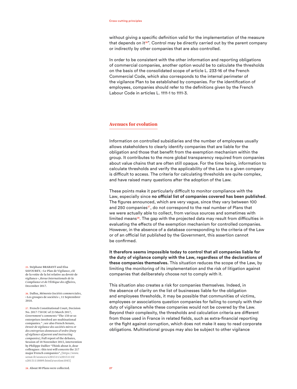without giving a specific definition valid for the implementation of the measure that depends on it<sup>26"</sup>. Control may be directly carried out by the parent company or indirectly by other companies that are also controlled.

In order to be consistent with the other information and reporting obligations of commercial companies, another option would be to calculate the thresholds on the basis of the consolidated scope of article L. 233-16 of the French Commercial Code, which also corresponds to the internal perimeter of the vigilance Plan to be established by companies. For the identification of employees, companies should refer to the definitions given by the French Labour Code in articles L. 1111-1 to 1111-3.

# Avenues for evolution

Information on controlled subsidiaries and the number of employees usually allows stakeholders to clearly identify companies that are liable for the obligation and those that benefit from the exemption mechanism within the group. It contributes to the more global transparency required from companies about value chains that are often still opaque. For the time being, information to calculate thresholds and verify the applicability of the Law to a given company is difficult to access. The criteria for calculating thresholds are quite complex, and have raised many questions after the adoption of the Law.

These points make it particularly difficult to monitor compliance with the Law, especially since **no official list of companies covered has been published**. The figures announced, which are very vague, since they vary between 100 and 250 companies<sup>27</sup>, do not correspond to the real number of Plans that we were actually able to collect, from various sources and sometimes with limited means<sup>28</sup>. The gap with the projected data may result from difficulties in evaluating the effects of the exemption mechanism for controlled companies. However, in the absence of a database corresponding to the criteria of the Law or of an official list published by the Government, this assertion cannot be confirmed.

**It therefore seems impossible today to control that all companies liable for the duty of vigilance comply with the Law, regardless of the declarations of these companies themselves.** This situation reduces the scope of the Law, by limiting the monitoring of its implementation and the risk of litigation against companies that deliberately choose not to comply with it.

This situation also creates a risk for companies themselves. Indeed, in the absence of clarity on the list of businesses liable for the obligation and employees thresholds, it may be possible that communities of victims, employees or associations question companies for failing to comply with their duty of vigilance while these companies would not be covered by the Law. Beyond their complexity, the thresholds and calculation criteria are different from those used in France in related fields, such as extra-financial reporting or the fight against corruption, which does not make it easy to read corporate obligations. Multinational groups may also be subject to other vigilance

25. Stéphane BRABANT and Elsa SAVOUREY, «Le Plan de Vigilance, clé de la voûte de la loi relative au devoir de vigilance », *Revue Internationale de la Compliance et de l'Éthique des Affaires*, December 2017.

26. Dalloz, *Mémento Sociétés commerciales*, «Les groupes de sociétés », 11 Septembrer 2018.

27. French Constitutional Court, Decision No. 2017-750 DC of 23 March 2017, *Government's comments* "The 150 or so enterprises involved are multinational companies." ; see also French Senate, *Devoir de vigilance des sociétés mères et des entreprises donneuses d'ordre (Duty of vigilance of parent and instructing companies)*, Full report of the debates, Session of 18 November 2015, intervention by Philippe Dallier "Think about it, dear colleagues : this text will concern the 217 major French companies", [\[https://www.](https://www.senat.fr/seances/s201511/s20151118/s20151118009.html#section1045) [senat.fr/seances/s201511/s20151118/](https://www.senat.fr/seances/s201511/s20151118/s20151118009.html#section1045) [s20151118009.html#section1045](https://www.senat.fr/seances/s201511/s20151118/s20151118009.html#section1045)]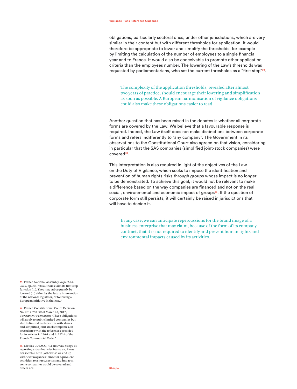obligations, particularly sectoral ones, under other jurisdictions, which are very similar in their content but with different thresholds for application. It would therefore be appropriate to lower and simplify the thresholds, for example by limiting the calculation of the number of employees to a single financial year and to France. It would also be conceivable to promote other application criteria than the employees number. The lowering of the Law's thresholds was requested by parliamentarians, who set the current thresholds as a "first step"29.

The complexity of the application thresholds, revealed after almost two years of practice, should encourage their lowering and simplification as soon as possible. A European harmonisation of vigilance obligations could also make these obligations easier to read.

Another question that has been raised in the debates is whether all corporate forms are covered by the Law. We believe that a favourable response is required. Indeed, the Law itself does not make distinctions between corporate forms and refers indifferently to "any company". The Government in its observations to the Constitutional Court also agreed on that vision, considering in particular that the SAS companies (simplified joint-stock companies) were covered<sup>30</sup>.

This interpretation is also required in light of the objectives of the Law on the Duty of Vigilance, which seeks to impose the identification and prevention of human rights risks through groups whose impact is no longer to be demonstrated. To achieve this goal, it would not be relevant to make a difference based on the way companies are financed and not on the real social, environmental and economic impact of groups $31$ . If the question of corporate form still persists, it will certainly be raised in jurisdictions that will have to decide it.

In any case, we can anticipate repercussions for the brand image of a business enterprise that may claim, because of the form of its company contract, that it is not required to identify and prevent human rights and environmental impacts caused by its activities.

29. French National Assembly, *Report No. 2628*, op. cit., "its authors claim its first-step function (...). They may subsequently be lowered (...) either by the future intervention of the national legislator, or following a European initiative in that way."

30. French Constitutional Court, Decision No. 2017-750 DC of March 23, 2017, *Government's comments* "These obligations will apply to public limited companies but also to limited partnerships with shares and simplified joint stock companies, in accordance with the references provided for in articles L. 226-1 and L. 227-1 of the French Commercial Code."

31. Nicolas CUZACQ, «Le nouveau visage du reporting extra-financier français », *Revue des sociétés*, 2018 ; otherwise we end up with "extravagances" since for equivalent activities, revenues, sectors and impacts, some companies would be covered and others not.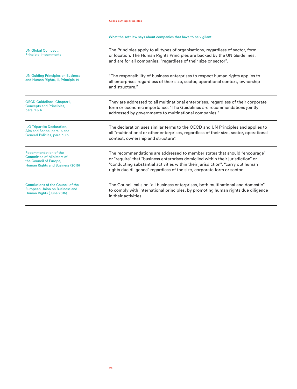What the soft law says about companies that have to be vigilant:

| <b>UN Global Compact,</b><br><b>Principle 1 - comments</b>                     | The Principles apply to all types of organisations, regardless of sector, form<br>or location. The Human Rights Principles are backed by the UN Guidelines,<br>and are for all companies, "regardless of their size or sector". |
|--------------------------------------------------------------------------------|---------------------------------------------------------------------------------------------------------------------------------------------------------------------------------------------------------------------------------|
| <b>UN Guiding Principles on Business</b><br>and Human Rights, II, Principle 14 | "The responsibility of business enterprises to respect human rights applies to<br>all enterprises regardless of their size, sector, operational context, ownership<br>and structure."                                           |
| <b>OECD Guidelines, Chapter I,</b>                                             | They are addressed to all multinational enterprises, regardless of their corporate                                                                                                                                              |
| <b>Concepts and Principles,</b>                                                | form or economic importance. "The Guidelines are recommendations jointly                                                                                                                                                        |
| para. 1 & 4                                                                    | addressed by governments to multinational companies."                                                                                                                                                                           |
| ILO Tripartite Declaration,                                                    | The declaration uses similar terms to the OECD and UN Principles and applies to                                                                                                                                                 |
| Aim and Scope, para. 6 and                                                     | all "multinational or other enterprises, regardless of their size, sector, operational                                                                                                                                          |
| General Policies, para. 10.b.                                                  | context, ownership and structure".                                                                                                                                                                                              |
| Recommendation of the                                                          | The recommendations are addressed to member states that should "encourage"                                                                                                                                                      |
| <b>Committee of Ministers of</b>                                               | or "require" that "business enterprises domiciled within their jurisdiction" or                                                                                                                                                 |
| the Council of Europe,                                                         | "conducting substantial activities within their jurisdiction", "carry out human                                                                                                                                                 |
| Human Rights and Business (2016)                                               | rights due diligence" regardless of the size, corporate form or sector.                                                                                                                                                         |
| Conclusions of the Council of the                                              | The Council calls on "all business enterprises, both multinational and domestic"                                                                                                                                                |
| <b>European Union on Business and</b>                                          | to comply with international principles, by promoting human rights due diligence                                                                                                                                                |
| Human Rights (June 2016)                                                       | in their activities.                                                                                                                                                                                                            |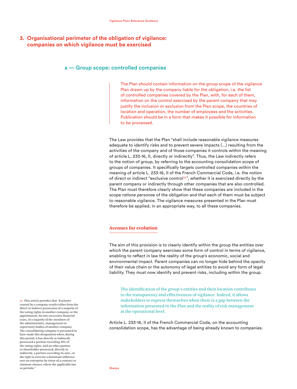# **3. Organisational perimeter of the obligation of vigilance: companies on which vigilance must be exercised**

# a — Group scope: controlled companies

The Plan should contain information on the group scope of the vigilance Plan drawn up by the company liable for the obligation, i.e. the list of controlled companies covered by the Plan, with, for each of them, information on the control exercised by the parent company that may justify the inclusion or exclusion from the Plan scope, the countries of location and operation, the number of employees and the activities. Publication should be in a form that makes it possible for information to be processed.

The Law provides that the Plan "shall include reasonable vigilance measures adequate to identify risks and to prevent severe impacts (...) resulting from the activities of the company and of those companies it controls within the meaning of article L. 233-16, II, directly or indirectly". Thus, the Law indirectly refers to the notion of group, by referring to the accounting consolidation scope of groups of companies. It specifically targets controlled companies within the meaning of article L. 233-16, II of the French Commercial Code, i.e. the notion of direct or indirect "exclusive control<sup>32</sup>", whether it is exercised directly by the parent company or indirectly through other companies that are also controlled. The Plan must therefore clearly show that these companies are included in the scope *ratione personae* of the obligation and that each of them must be subject to reasonable vigilance. The vigilance measures presented in the Plan must therefore be applied, in an appropriate way, to all these companies.

# Avenues for evolution

The aim of this provision is to clearly identify within the group the entities over which the parent company exercises some form of control in terms of vigilance, enabling to reflect in law the reality of the group's economic, social and environmental impact. Parent companies can no longer hide behind the opacity of their value chain or the autonomy of legal entities to avoid any form of legal liability. They must now identify and prevent risks, including within the group.

The identification of the group's entities and their location contributes to the transparency and effectiveness of vigilance. Indeed, it allows stakeholders to express themselves when there is a gap between the information presented in the Plan and the reality of risk management at the operational level.

Article L. 233-16, II of the French Commercial Code, on the accounting consolidation scope, has the advantage of being already known to companies.

32. This article provides that "Exclusive control by a company results either from the direct or indirect possession of a majority of the voting rights in another company; or the appointment, for two successive financial years, of a majority of the members of the administrative, management or supervisory bodies of another company. The consolidating company is presumed to have made this designation when, during this period, it has directly or indirectly possessed a portion exceeding 40% of the voting rights, and no other partner or shareholder possessed, directly or indirectly, a portion exceeding its own ; or the right to exercise a dominant influence over an enterprise by virtue of a contract or statutory clauses, where the applicable law so permits."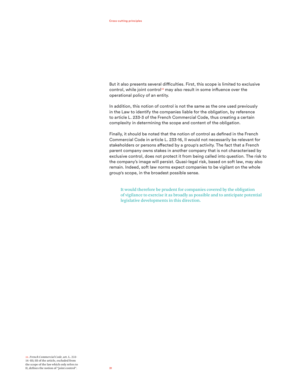But it also presents several difficulties. First, this scope is limited to exclusive control, while joint control<sup>33</sup> may also result in some influence over the operational policy of an entity.

In addition, this notion of control is not the same as the one used previously in the Law to identify the companies liable for the obligation, by reference to article L. 233-3 of the French Commercial Code, thus creating a certain complexity in determining the scope and content of the obligation.

Finally, it should be noted that the notion of control as defined in the French Commercial Code in article L. 233-16, II would not necessarily be relevant for stakeholders or persons affected by a group's activity. The fact that a French parent company owns stakes in another company that is not characterised by exclusive control, does not protect it from being called into question. The risk to the company's image will persist. Quasi-legal risk, based on soft law, may also remain. Indeed, soft law norms expect companies to be vigilant on the whole group's scope, in the broadest possible sense.

It would therefore be prudent for companies covered by the obligation of vigilance to exercise it as broadly as possible and to anticipate potential legislative developments in this direction.

33. *French Commercial Code,* art. L. 233- 16 -III; III of the article, excluded from the scope of the law which only refers to II, defines the notion of "joint control".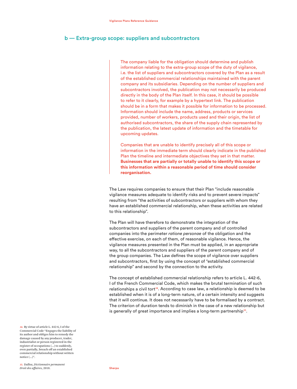# b — Extra-group scope: suppliers and subcontractors

The company liable for the obligation should determine and publish information relating to the extra-group scope of the duty of vigilance, i.e. the list of suppliers and subcontractors covered by the Plan as a result of the established commercial relationships maintained with the parent company and its subsidiaries. Depending on the number of suppliers and subcontractors involved, the publication may not necessarily be produced directly in the body of the Plan itself. In this case, it should be possible to refer to it clearly, for example by a hypertext link. The publication should be in a form that makes it possible for information to be processed. Information should include the name, address, products or services provided, number of workers, products used and their origin, the list of authorised subcontractors, the share of the supply chain represented by the publication, the latest update of information and the timetable for upcoming updates.

Companies that are unable to identify precisely all of this scope or information in the immediate term should clearly indicate in the published Plan the timeline and intermediate objectives they set in that matter. **Businesses that are partially or totally unable to identify this scope or this information within a reasonable period of time should consider reorganisation.** 

The Law requires companies to ensure that their Plan "include reasonable vigilance measures adequate to identify risks and to prevent severe impacts" resulting from "the activities of subcontractors or suppliers with whom they have an established commercial relationship, when these activities are related to this relationship".

The Plan will have therefore to demonstrate the integration of the subcontractors and suppliers of the parent company and of controlled companies into the perimeter *ratione personae* of the obligation and the effective exercise, on each of them, of reasonable vigilance. Hence, the vigilance measures presented in the Plan must be applied, in an appropriate way, to all the subcontractors and suppliers of the parent company and of the group companies. The Law defines the scope of vigilance over suppliers and subcontractors, first by using the concept of "established commercial relationship" and second by the connection to the activity.

The concept of established commercial relationship refers to article L. 442-6, I of the French Commercial Code, which makes the brutal termination of such relationships a civil tort<sup>34</sup>. According to case law, a relationship is deemed to be established when it is of a long-term nature, of a certain intensity and suggests that it will continue. It does not necessarily have to be formalised by a contract. The criterion of duration tends to diminish in the case of a new relationship but is generally of great importance and implies a long-term partnership<sup>35</sup>.

34. By virtue of article L. 442-6, I of the Commercial Code "Engages the liability of its author and obliges him to remedy the damage caused by any producer, trader, industrialist or person registered in the register of occupations (...) to suddenly, even partially, breach off an established commercial relationship without written notice (...)".

35. Dalloz, *Dictionnaire permanent Droit des affaires*, 2018.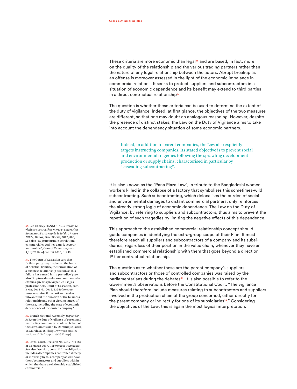These criteria are more economic than legal<sup>36</sup> and are based, in fact, more on the quality of the relationship and the various trading partners rather than the nature of any legal relationship between the actors. Abrupt breakup as an offense is moreover assessed in the light of the economic imbalance in commercial relations. It seeks to protect suppliers and subcontractors in a situation of economic dependence and its benefit may extend to third parties in a direct contractual relationship<sup>37</sup>.

The question is whether these criteria can be used to determine the extent of the duty of vigilance. Indeed, at first glance, the objectives of the two measures are different, so that one may doubt an analogous reasoning. However, despite the presence of distinct stakes, the Law on the Duty of Vigilance aims to take into account the dependency situation of some economic partners.

Indeed, in addition to parent companies, the Law also explicitly targets instructing companies. Its stated objective is to prevent social and environmental tragedies following the sprawling development production or supply chains, characterised in particular by "cascading subcontracting".

It is also known as the "Rana Plaza Law", in tribute to the Bangladeshi women workers killed in the collapse of a factory that symbolises this sometimes-wild subcontracting. Such subcontracting, which delocalises the burden of social and environmental damages to distant commercial partners, only reinforces the already strong logic of economic dependence. The Law on the Duty of Vigilance, by referring to suppliers and subcontractors, thus aims to prevent the repetition of such tragedies by limiting the negative effects of this dependence.

This approach to the established commercial relationship concept should guide companies in identifying the extra-group scope of their Plan. It must therefore reach all suppliers and subcontractors of a company and its subsidiaries, regardless of their position in the value chain, whenever they have an established commercial relationship with them that goes beyond a direct or 1<sup>st</sup> tier contractual relationship.

The question as to whether these are the parent company's suppliers and subcontractors or those of controlled companies was raised by the parliamentarians during the debates<sup>38</sup>. It is also possible to refer to the Government's observations before the Constitutional Court: "The vigilance Plan should therefore include measures relating to subcontractors and suppliers involved in the production chain of the group concerned, either directly for the parent company or indirectly for one of its subsidiaries<sup>39</sup>." Considering the objectives of the Law, this is again the most logical interpretation.

36. See Charley HANNOUN *«Le devoir de vigilance des sociétés mères et entreprises donneuses d'ordre après la loi du 27 mars 2017 »*, Dalloz, Droit Social, 2017, 806; See also "Rupture brutale de relations commerciales établies dans le secteur automobile", Cour of Cassation, com. 5 July 2016, AJ contrat 2016, p. 439.

37. The Court of Cassation says that "a third party may invoke, on the basis of delictual liability, the termination of a business relationship as soon as this failure has caused him a prejudice"; see also "Rupture des relations commerciales établies: préavis prévu par les usages professionnels, Court of Cassation, com. 3 May 2012 - D. 2012. 1324: the court must «examine if the notice (...) takes into account the duration of the business relationship and other circumstances of the case, including the state of economic dependence of the ousted company."

38. French National Assembly, *Report No. 3582* on the duty of vigilance of parent and instructing companies, made on behalf of the Law Commission by Dominique Potier, 16 March, 2016, [\[http://www.assemblee](http://www.assemblee-national.fr/14/rapports/r3582.asp)[national.fr/14/rapports/r3582.asp\]](http://www.assemblee-national.fr/14/rapports/r3582.asp)

39. Cons. court, Decision No. 2017-750 DC of 23 March 2017, *Government Comments*; See also Decision, cons. 11 "the obligation includes all companies controlled directly or indirectly by this company as well as all the subcontractors and suppliers with in which they have a relationship established commercial."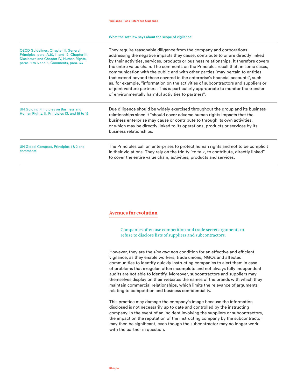#### What the soft law says about the scope of vigilance:

| <b>OECD Guidelines, Chapter II, General</b><br>Principles, para. A.10, 11 and 12, Chapter III,<br>Disclosure and Chapter IV, Human Rights,<br>paras. 1 to 3 and 5, Comments, para. 33 | They require reasonable diligence from the company and corporations,<br>addressing the negative impacts they cause, contribute to or are directly linked<br>by their activities, services, products or business relationships. It therefore covers<br>the entire value chain. The comments on the Principles recall that, in some cases,<br>communication with the public and with other parties "may pertain to entities<br>that extend beyond those covered in the enterprise's financial accounts", such<br>as, for example, "information on the activities of subcontractors and suppliers or<br>of joint venture partners. This is particularly appropriate to monitor the transfer<br>of environmentally harmful activities to partners". |
|---------------------------------------------------------------------------------------------------------------------------------------------------------------------------------------|-------------------------------------------------------------------------------------------------------------------------------------------------------------------------------------------------------------------------------------------------------------------------------------------------------------------------------------------------------------------------------------------------------------------------------------------------------------------------------------------------------------------------------------------------------------------------------------------------------------------------------------------------------------------------------------------------------------------------------------------------|
| <b>UN Guiding Principles on Business and</b><br>Human Rights, II, Principles 13, and 15 to 19                                                                                         | Due diligence should be widely exercised throughout the group and its business<br>relationships since it "should cover adverse human rights impacts that the<br>business enterprise may cause or contribute to through its own activities,<br>or which may be directly linked to its operations, products or services by its<br>business relationships.                                                                                                                                                                                                                                                                                                                                                                                         |
| UN Global Compact, Principles 1 & 2 and<br>comments                                                                                                                                   | The Principles call on enterprises to protect human rights and not to be complicit<br>in their violations. They rely on the trinity "to talk, to contribute, directly linked"<br>to cover the entire value chain, activities, products and services.                                                                                                                                                                                                                                                                                                                                                                                                                                                                                            |

# Avenues for evolution

Companies often use competition and trade secret arguments to refuse to disclose lists of suppliers and subcontractors.

However, they are the *sine qua non* condition for an effective and efficient vigilance, as they enable workers, trade unions, NGOs and affected communities to identify quickly instructing companies to alert them in case of problems that irregular, often incomplete and not always fully independent audits are not able to identify. Moreover, subcontractors and suppliers may themselves display on their websites the names of the brands with which they maintain commercial relationships, which limits the relevance of arguments relating to competition and business confidentiality.

This practice may damage the company's image because the information disclosed is not necessarily up to date and controlled by the instructing company. In the event of an incident involving the suppliers or subcontractors, the impact on the reputation of the instructing company by the subcontractor may then be significant, even though the subcontractor may no longer work with the partner in question.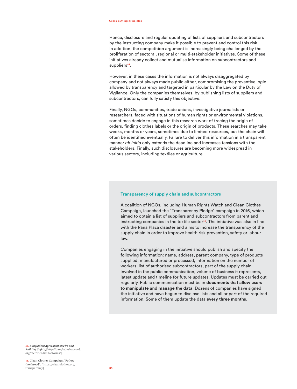Hence, disclosure and regular updating of lists of suppliers and subcontractors by the instructing company make it possible to prevent and control this risk. In addition, the competition argument is increasingly being challenged by the proliferation of sectoral, regional or multi-stakeholder initiatives. Some of these initiatives already collect and mutualise information on subcontractors and suppliers<sup>40</sup>.

However, in these cases the information is not always disaggregated by company and not always made public either, compromising the preventive logic allowed by transparency and targeted in particular by the Law on the Duty of Vigilance. Only the companies themselves, by publishing lists of suppliers and subcontractors, can fully satisfy this objective.

Finally, NGOs, communities, trade unions, investigative journalists or researchers, faced with situations of human rights or environmental violations, sometimes decide to engage in this research work of tracing the origin of orders, finding clothes labels or the origin of products. These searches may take weeks, months or years, sometimes due to limited resources, but the chain will often be identified eventually. Failure to deliver this information in a transparent manner *ab initio* only extends the deadline and increases tensions with the stakeholders. Finally, such disclosures are becoming more widespread in various sectors, including textiles or agriculture.

#### **Transparency of supply chain and subcontractors**

A coalition of NGOs, including Human Rights Watch and Clean Clothes Campaign, launched the "Transparency Pledge" campaign in 2016, which aimed to obtain a list of suppliers and subcontractors from parent and instructing companies in the textile sector<sup>41</sup>. The initiative was also in line with the Rana Plaza disaster and aims to increase the transparency of the supply chain in order to improve health risk prevention, safety or labour law.

Companies engaging in the initiative should publish and specify the following information: name, address, parent company, type of products supplied, manufactured or processed, information on the number of workers, list of authorised subcontractors, part of the supply chain involved in the public communication, volume of business it represents, latest update and timeline for future updates. Updates must be carried out regularly. Public communication must be in **documents that allow users to manipulate and manage the data**. Dozens of companies have signed the initiative and have begun to disclose lists and all or part of the required information. Some of them update the data **every three months.**

40. *Bangladesh Agreement on Fire and Building Safety*, [\[http://bangladeshaccord.](http://bangladeshaccord.org/factories/list-factories/) [org/factories/list-factories/\]](http://bangladeshaccord.org/factories/list-factories/)

41. Clean Clothes Campaign, "Follow the thread", [[https://cleanclothes.org/](https://cleanclothes.org/transparency) [transparency\]](https://cleanclothes.org/transparency)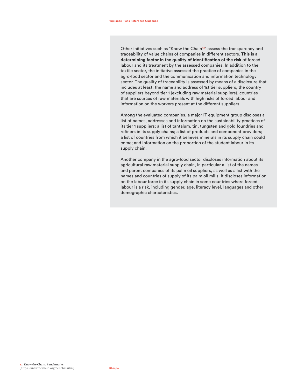Other initiatives such as "Know the Chain<sup>42"</sup> assess the transparency and traceability of value chains of companies in different sectors. **This is a determining factor in the quality of identification of the risk** of forced labour and its treatment by the assessed companies. In addition to the textile sector, the initiative assessed the practice of companies in the agro-food sector and the communication and information technology sector. The quality of traceability is assessed by means of a disclosure that includes at least: the name and address of 1st tier suppliers, the country of suppliers beyond tier 1 (excluding raw material suppliers), countries that are sources of raw materials with high risks of forced labour and information on the workers present at the different suppliers.

Among the evaluated companies, a major IT equipment group discloses a list of names, addresses and information on the sustainability practices of its tier 1 suppliers; a list of tantalum, tin, tungsten and gold foundries and refiners in its supply chains; a list of products and component providers; a list of countries from which it believes minerals in its supply chain could come; and information on the proportion of the student labour in its supply chain.

Another company in the agro-food sector discloses information about its agricultural raw material supply chain, in particular a list of the names and parent companies of its palm oil suppliers, as well as a list with the names and countries of supply of its palm oil mills. It discloses information on the labour force in its supply chain in some countries where forced labour is a risk, including gender, age, literacy level, languages and other demographic characteristics.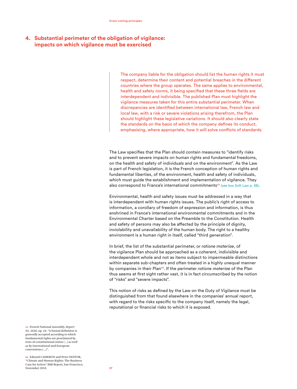# **4. Substantial perimeter of the obligation of vigilance: impacts on which vigilance must be exercised**

The company liable for the obligation should list the human rights it must respect, determine their content and potential breaches in the different countries where the group operates. The same applies to environmental, health and safety norms, it being specified that these three fields are interdependent and indivisible. The published Plan must highlight the vigilance measures taken for this entire substantial perimeter. When discrepancies are identified between international law, French law and local law, with a risk or severe violations arising therefrom, the Plan should highlight these legislative variations. It should also clearly state the standards on the basis of which the company defines its conduct, emphasising, where appropriate, how it will solve conflicts of standards.

The Law specifies that the Plan should contain measures to "identify risks and to prevent severe impacts on human rights and fundamental freedoms, on the health and safety of individuals and on the environment". As the Law is part of French legislation, it is the French conception of human rights and fundamental liberties, of the environment, health and safety of individuals, which must guide the establishment and implementation of vigilance. They also correspond to France's international commitments<sup>43</sup> (see box Soft Law p. 38).

Environmental, health and safety issues must be addressed in a way that is interdependent with human rights issues. The public's right of access to information, a corollary of freedom of expression and information, is thus enshrined in France's international environmental commitments and in the Environmental Charter based on the Preamble to the Constitution. Health and safety of persons may also be affected by the principle of dignity, inviolability and unavailability of the human body. The right to a healthy environment is a human right in itself, called "third generation".

In brief, the list of the substantial perimeter, or *ratione materiae*, of the vigilance Plan should be approached as a coherent, indivisible and interdependent whole and not as items subject to impermeable distinctions within separate sub-chapters and often treated in a highly unequal manner by companies in their Plan44. If the perimeter *ratione materiae* of the Plan thus seems at first sight rather vast, it is in fact circumscribed by the notion of "risks" and "severe impacts".

This notion of risks as defined by the Law on the Duty of Vigilance must be distinguished from that found elsewhere in the companies' annual report, with regard to the risks specific to the company itself, namely the legal, reputational or financial risks to which it is exposed.

43. French National Assembly, *Report No. 2628*, op. cit. "A formal definition is generally accepted according to which fundamental rights are proclaimed by texts of constitutional status (...) as well as by international and European conventions ( $\rightarrow$ "

44. Edward CAMERON and Peter NESTOR, "Climate and Human Rights: The Business Case for Action" BSR Report, San Francisco, November 2018.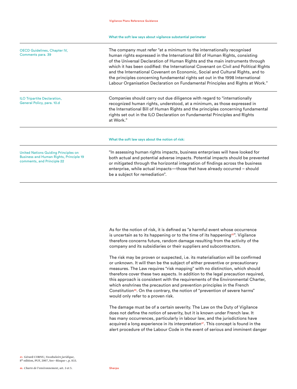#### What the soft law says about vigilance substantial perimeter

| <b>OECD Guidelines, Chapter IV,</b><br>Comments para. 39                                                                    | The company must refer "at a minimum to the internationally recognised<br>human rights expressed in the International Bill of Human Rights, consisting<br>of the Universal Declaration of Human Rights and the main instruments through<br>which it has been codified: the International Covenant on Civil and Political Rights<br>and the International Covenant on Economic, Social and Cultural Rights, and to<br>the principles concerning fundamental rights set out in the 1998 International<br>Labour Organisation Declaration on Fundamental Principles and Rights at Work." |
|-----------------------------------------------------------------------------------------------------------------------------|---------------------------------------------------------------------------------------------------------------------------------------------------------------------------------------------------------------------------------------------------------------------------------------------------------------------------------------------------------------------------------------------------------------------------------------------------------------------------------------------------------------------------------------------------------------------------------------|
| <b>ILO Tripartite Declaration,</b><br>General Policy, para. 10.d                                                            | Companies should carry out due diligence with regard to "internationally"<br>recognized human rights, understood, at a minimum, as those expressed in<br>the International Bill of Human Rights and the principles concerning fundamental<br>rights set out in the ILO Declaration on Fundamental Principles and Rights<br>at Work."                                                                                                                                                                                                                                                  |
|                                                                                                                             | What the soft law says about the notion of risk:                                                                                                                                                                                                                                                                                                                                                                                                                                                                                                                                      |
| <b>United Nations Guiding Principles on</b><br><b>Business and Human Rights, Principle 19</b><br>comments, and Principle 22 | "In assessing human rights impacts, business enterprises will have looked for<br>both actual and potential adverse impacts. Potential impacts should be prevented<br>or mitigated through the horizontal integration of findings across the business<br>enterprise, while actual impacts—those that have already occurred – should<br>be a subject for remediation".                                                                                                                                                                                                                  |

As for the notion of risk, it is defined as "a harmful event whose occurrence is uncertain as to its happening or to the time of its happening<sup>45"</sup>. Vigilance therefore concerns future, random damage resulting from the activity of the company and its subsidiaries or their suppliers and subcontractors.

The risk may be proven or suspected, i.e. its materialisation will be confirmed or unknown. It will then be the subject of either preventive or precautionary measures. The Law requires "risk mapping" with no distinction, which should therefore cover these two aspects. In addition to the legal precaution required, this approach is consistent with the requirements of the Environmental Charter, which enshrines the precaution and prevention principles in the French Constitution<sup>46</sup>. On the contrary, the notion of "prevention of severe harms" would only refer to a proven risk.

The damage must be of a certain severity. The Law on the Duty of Vigilance does not define the notion of severity, but it is known under French law. It has many occurrences, particularly in labour law, and the jurisdictions have acquired a long experience in its interpretation<sup>47</sup>. This concept is found in the alert procedure of the Labour Code in the event of serious and imminent danger

45. Gérard CORNU, *Vocabulaire juridique*, 8th edition, PUF, 2007, See «Risque », p. 833.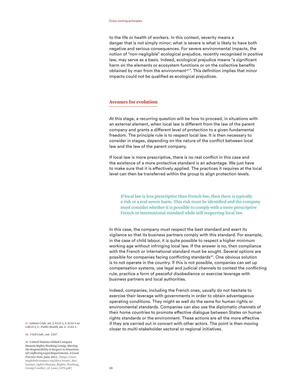to the life or health of workers. In this context, severity means a danger that is not simply minor; what is severe is what is likely to have both negative and serious consequences. For severe environmental impacts, the notion of "non-negligible" ecological prejudice, recently recognised in positive law, may serve as a basis. Indeed, ecological prejudice means "a significant harm on the elements or ecosystem functions or on the collective benefits obtained by man from the environment<sup>48</sup>". This definition implies that minor impacts could not be qualified as ecological prejudices.

# Avenues for evolution

At this stage, a recurring question will be how to proceed, in situations with an external element, when local law is different from the law of the parent company and grants a different level of protection to a given fundamental freedom. The principle rule is to respect local law. It is then necessary to consider in stages, depending on the nature of the conflict between local law and the law of the parent company.

If local law is more prescriptive, there is no real conflict in this case and the existence of a more protective standard is an advantage. We just have to make sure that it is effectively applied. The practices it requires at the local level can then be transferred within the group to align protection levels.

If local law is less prescriptive than French law, then there is typically a risk or a real severe harm. This risk must be identified and the company must consider whether it is possible to comply with a more prescriptive French or international standard while still respecting local law.

In this case, the company must respect the best standard and exert its vigilance so that its business partners comply with this standard. For example, in the case of child labour, it is quite possible to respect a higher minimum working age without infringing local law. If the answer is no, then compliance with the French or international standard must be sought. Several options are possible for companies facing conflicting standards<sup>49</sup>. One obvious solution is to not operate in the country. If this is not possible, companies can set up compensation systems, use legal and judicial channels to contest the conflicting rule, practice a form of peaceful disobedience or exercise leverage with business partners and local authorities.

Indeed, companies, including the French ones, usually do not hesitate to exercise their leverage with governments in order to obtain advantageous operating conditions. They might as well do the same for human rights or environmental standards. Companies can also use the diplomatic channels of their home countries to promote effective dialogue between States on human rights standards or the environment. These actions are all the more effective if they are carried out in concert with other actors. The point is then moving closer to multi-stakeholder sectoral or regional initiatives.

47. *Labour Code,* art. L 4131-1, L 4133-1 or L4614-2, C. *Public health,* art. L. 1142-1.

#### 48. *Civil Code.*, art. 1247.

49. United Nations Global Compact Human Rights Working Group, *Meeting the Responsibility to Respect in Situations of Conflicting Legal Requirements: A Good Practice Note*, June 2011, [[https://www.](https://www.unglobalcompact.org/docs/issues_doc/human_rights/Human_Rights_Working_Group/Conflict_of_) [unglobalcompact.org/docs/issues\\_doc/](https://www.unglobalcompact.org/docs/issues_doc/human_rights/Human_Rights_Working_Group/Conflict_of_) [human\\_rights/Human\\_Rights\\_Working\\_](https://www.unglobalcompact.org/docs/issues_doc/human_rights/Human_Rights_Working_Group/Conflict_of_) [Group/Conflict\\_of\\_Laws\\_GPN.pdf\]](https://www.unglobalcompact.org/docs/issues_doc/human_rights/Human_Rights_Working_Group/Conflict_of_)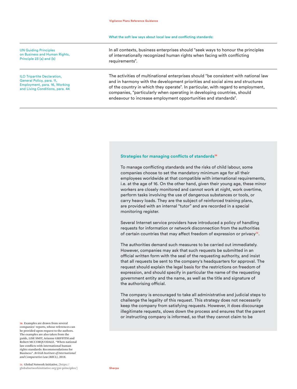#### What the soft law says about local law and conflicting standards:

UN Guiding Principles on Business and Human Rights, Principle 23 (a) and (b)

ILO Tripartite Declaration, General Policy, para. 11, Employment, para. 16, Working and Living Conditions, para. 44 In all contexts, business enterprises should "seek ways to honour the principles of internationally recognized human rights when facing with conflicting requirements".

The activities of multinational enterprises should "be consistent with national law and in harmony with the development priorities and social aims and structures of the country in which they operate". In particular, with regard to employment, companies, "particularly when operating in developing countries, should endeavour to increase employment opportunities and standards".

#### **Strategies for managing conflicts of standards<sup>50</sup>**

To manage conflicting standards and the risks of child labour, some companies choose to set the mandatory minimum age for all their employees worldwide at that compatible with international requirements, i.e. at the age of 16. On the other hand, given their young age, these minor workers are closely monitored and cannot work at night, work overtime, perform tasks involving the use of dangerous substances or tools, or carry heavy loads. They are the subject of reinforced training plans, are provided with an internal "tutor" and are recorded in a special monitoring register.

Several Internet service providers have introduced a policy of handling requests for information or network disconnection from the authorities of certain countries that may affect freedom of expression or privacy<sup>51</sup>.

The authorities demand such measures to be carried out immediately. However, companies may ask that such requests be submitted in an official written form with the seal of the requesting authority, and insist that all requests be sent to the company's headquarters for approval. The request should explain the legal basis for the restrictions on freedom of expression, and should specify in particular the name of the requesting government entity and the name, as well as the title and signature of the authorising official.

The company is encouraged to take all administrative and judicial steps to challenge the legality of this request. This strategy does not necessarily keep the company from satisfying requests. However, it does discourage illegitimate requests, slows down the process and ensures that the parent or instructing company is informed, so that they cannot claim to be

50. Examples are drawn from several companies' reports, whose references can be provided upon request to the authors. The examples are also taken from the guide, LISE SMIT, Arianne GRIFFITH and Robert MCCORQUODALE. "When national law conflicts with international human rights standards: Recommendations for Business". *British Institute of International and Comparative Law (BIICL)*, 2018.

51. Global Network Initiative, [[https://](https://globalnetworkinitiative.org/gni-principles/) [globalnetworkinitiative.org/gni-principles/](https://globalnetworkinitiative.org/gni-principles/)]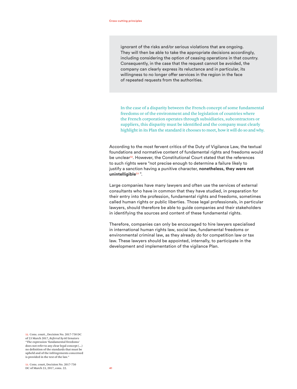ignorant of the risks and/or serious violations that are ongoing. They will then be able to take the appropriate decisions accordingly, including considering the option of ceasing operations in that country. Consequently, in the case that the request cannot be avoided, the company can clearly express its reluctance and in particular, its willingness to no longer offer services in the region in the face of repeated requests from the authorities.

In the case of a disparity between the French concept of some fundamental freedoms or of the environment and the legislation of countries where the French corporation operates through subsidiaries, subcontractors or suppliers, this disparity must be identified and the company must clearly highlight in its Plan the standard it chooses to meet, how it will do so and why.

According to the most fervent critics of the Duty of Vigilance Law, the textual foundations and normative content of fundamental rights and freedoms would be unclear<sup>52</sup>. However, the Constitutional Court stated that the references to such rights were "not precise enough to determine a failure likely to justify a sanction having a punitive character, **nonetheless, they were not**  unintelligible<sup>53</sup>".

Large companies have many lawyers and often use the services of external consultants who have in common that they have studied, in preparation for their entry into the profession, fundamental rights and freedoms, sometimes called human rights or public liberties. Those legal professionals, in particular lawyers, should therefore be able to guide companies and their stakeholders in identifying the sources and content of these fundamental rights.

Therefore, companies can only be encouraged to hire lawyers specialised in international human rights law, social law, fundamental freedoms or environmental criminal law, as they already do for competition law or tax law. These lawyers should be appointed, internally, to participate in the development and implementation of the vigilance Plan.

52. Cons. court., Decision No. 2017-750 DC of 23 March 2017, *Referral by 60 Senators*  "The expression 'fundamental freedoms' does not refer to any clear legal concept (...) no definition of the standards that must be upheld and of the infringements concerned is provided in the text of the law.

53. Cons. court, Decision No. 2017-750 DC of March 23, 2017, cons. 22.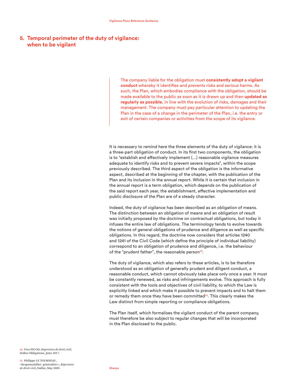# **5. Temporal perimeter of the duty of vigilance: when to be vigilant**

The company liable for the obligation must **consistently adopt a vigilant conduct** whereby it identifies and prevents risks and serious harms. As such, the Plan, which embodies compliance with the obligation, should be made available to the public as soon as it is drawn up and then **updated as regularly as possible**, in line with the evolution of risks, damages and their management. The company must pay particular attention to updating the Plan in the case of a change in the perimeter of the Plan, i.e. the entry or exit of certain companies or activities from the scope of its vigilance.

It is necessary to remind here the three elements of the duty of vigilance: it is a three-part obligation of conduct. In its first two components, the obligation is to "establish and effectively implement (...) reasonable vigilance measures adequate to identify risks and to prevent severe impacts", within the scope previously described. The third aspect of the obligation is the informative aspect, described at the beginning of the chapter, with the publication of the Plan and its inclusion in the annual report. While it is certain that inclusion in the annual report is a term obligation, which depends on the publication of the said report each year, the establishment, effective implementation and public disclosure of the Plan are of a steady character.

Indeed, the duty of vigilance has been described as an obligation of means. The distinction between an obligation of means and an obligation of result was initially proposed by the doctrine on contractual obligations, but today it infuses the entire law of obligations. The terminology tends to evolve towards the notions of general obligations of prudence and diligence as well as specific obligations. In this regard, the doctrine now considers that articles 1240 and 1241 of the Civil Code (which define the principle of individual liability) correspond to an obligation of prudence and diligence, i.e. the behaviour of the "prudent father", the reasonable person<sup>54</sup>.

The duty of vigilance, which also refers to these articles, is to be therefore understood as an obligation of generally prudent and diligent conduct, a reasonable conduct, which cannot obviously take place only once a year. It must be constantly renewed, as risks and infringements evolve. This approach is fully consistent with the tools and objectives of civil liability, to which the Law is explicitly linked and which make it possible to prevent impacts and to halt them or remedy them once they have been committed<sup>55</sup>. This clearly makes the Law distinct from simple reporting or compliance obligations.

The Plan itself, which formalises the vigilant conduct of the parent company, must therefore be also subject to regular changes that will be incorporated in the Plan disclosed to the public.

54. Yves PICOD, *Répertoire de droit civil*, Dalloz Obligations, June 2017.

55. Philippe LE TOURNEAU, «Responsabilité : généralités », *Répertoire de droit civil*, Dalloz, May 2009.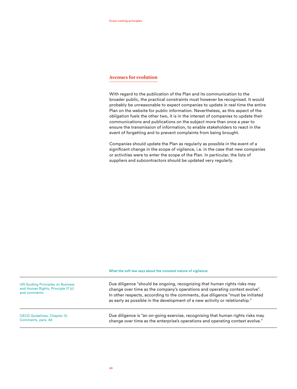# Avenues for evolution

With regard to the publication of the Plan and its communication to the broader public, the practical constraints must however be recognised. It would probably be unreasonable to expect companies to update in real time the entire Plan on the website for public information. Nevertheless, as this aspect of the obligation fuels the other two, it is in the interest of companies to update their communications and publications on the subject more than once a year to ensure the transmission of information, to enable stakeholders to react in the event of forgetting and to prevent complaints from being brought.

Companies should update the Plan as regularly as possible in the event of a significant change in the scope of vigilance, i.e. in the case that new companies or activities were to enter the scope of the Plan. In particular, the lists of suppliers and subcontractors should be updated very regularly.

#### What the soft law says about the constant nature of vigilance:

| <b>UN Guiding Principles on Business</b><br>and Human Rights, Principle 17 (c)<br>and comments | Due diligence "should be ongoing, recognizing that human rights risks may<br>change over time as the company's operations and operating context evolve".<br>In other respects, according to the comments, due diligence "must be initiated"<br>as early as possible in the development of a new activity or relationship." |
|------------------------------------------------------------------------------------------------|----------------------------------------------------------------------------------------------------------------------------------------------------------------------------------------------------------------------------------------------------------------------------------------------------------------------------|
| <b>OECD Guidelines, Chapter IV,</b>                                                            | Due diligence is "an on-going exercise, recognising that human rights risks may                                                                                                                                                                                                                                            |
| Comments, para. 45                                                                             | change over time as the enterprise's operations and operating context evolve."                                                                                                                                                                                                                                             |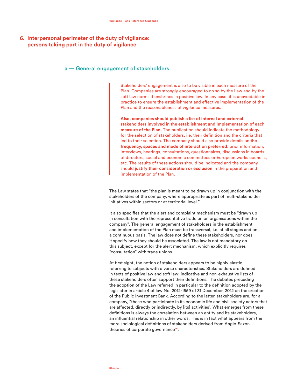# **6. Interpersonal perimeter of the duty of vigilance: persons taking part in the duty of vigilance**

# a — General engagement of stakeholders

Stakeholders' engagement is also to be visible in each measure of the Plan. Companies are strongly encouraged to do so by the Law and by the soft law norms it enshrines in positive law. In any case, it is unavoidable in practice to ensure the establishment and effective implementation of the Plan and the reasonableness of vigilance measures.

**Also, companies should publish a list of internal and external stakeholders involved in the establishment and implementation of each measure of the Plan.** The publication should indicate the methodology for the selection of stakeholders, i.e. their definition and the criteria that led to their selection. The company should also provide details on **the frequency, spaces and mode of interaction preferred**: prior information, interviews, hearings, consultations, questionnaires, discussions in boards of directors, social and economic committees or European works councils, etc. The results of these actions should be indicated and the company should **justify their consideration or exclusion** in the preparation and implementation of the Plan.

The Law states that "the plan is meant to be drawn up in conjunction with the stakeholders of the company, where appropriate as part of multi-stakeholder initiatives within sectors or at territorial level."

It also specifies that the alert and complaint mechanism must be "drawn up in consultation with the representative trade union organisations within the company". The general engagement of stakeholders in the establishment and implementation of the Plan must be transversal, i.e. at all stages and on a continuous basis. The law does not define these stakeholders, nor does it specify how they should be associated. The law is not mandatory on this subject, except for the alert mechanism, which explicitly requires "consultation" with trade unions.

At first sight, the notion of stakeholders appears to be highly elastic, referring to subjects with diverse characteristics. Stakeholders are defined in texts of positive law and soft law; indicative and non-exhaustive lists of these stakeholders often support their definitions. The debates preceding the adoption of the Law referred in particular to the definition adopted by the legislator in article 4 of law No. 2012-1559 of 31 December, 2012 on the creation of the Public Investment Bank. According to the latter, stakeholders are, for a company, "those who participate in its economic life and civil society actors that are affected, directly or indirectly, by [its] activities". What emerges from these definitions is always the correlation between an entity and its stakeholders, an influential relationship in other words. This is in fact what appears from the more sociological definitions of stakeholders derived from Anglo-Saxon theories of corporate governance<sup>56</sup>.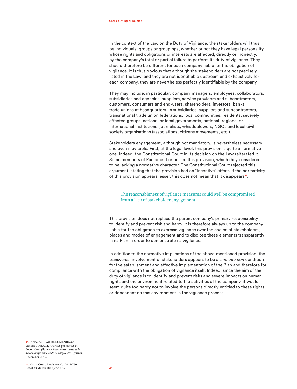In the context of the Law on the Duty of Vigilance, the stakeholders will thus be individuals, groups or groupings, whether or not they have legal personality, whose rights and obligations or interests are affected, directly or indirectly, by the company's total or partial failure to perform its duty of vigilance. They should therefore be different for each company liable for the obligation of vigilance. It is thus obvious that although the stakeholders are not precisely listed in the Law, and they are not identifiable upstream and exhaustively for each company, they are nevertheless perfectly identifiable by the company

They may include, in particular: company managers, employees, collaborators, subsidiaries and agencies, suppliers, service providers and subcontractors, customers, consumers and end-users, shareholders, investors, banks, trade unions at headquarters, in subsidiaries, suppliers and subcontractors, transnational trade union federations, local communities, residents, severely affected groups, national or local governments, national, regional or international institutions, journalists, whistleblowers, NGOs and local civil society organisations (associations, citizens movements, etc.).

Stakeholders engagement, although not mandatory, is nevertheless necessary and even inevitable. First, at the legal level, this provision is quite a normative one. Indeed, the Constitutional Court in its decision on the Law reiterated it. Some members of Parliament criticised this provision, which they considered to be lacking a normative character. The Constitutional Court rejected this argument, stating that the provision had an "incentive" effect. If the normativity of this provision appears lesser, this does not mean that it disappears<sup>57</sup>.

## The reasonableness of vigilance measures could well be compromised from a lack of stakeholder engagement

This provision does not replace the parent company's primary responsibility to identify and prevent risk and harm. It is therefore always up to the company liable for the obligation to exercise vigilance over the choice of stakeholders, places and modes of engagement and to disclose these elements transparently in its Plan in order to demonstrate its vigilance.

In addition to the normative implications of the above-mentioned provision, the transversal involvement of stakeholders appears to be a *sine qua non* condition for the establishment and effective implementation of the Plan and therefore for compliance with the obligation of vigilance itself. Indeed, since the aim of the duty of vigilance is to identify and prevent risks and severe impacts on human rights and the environment related to the activities of the company, it would seem quite foolhardy not to involve the persons directly entitled to these rights or dependent on this environment in the vigilance process.

56. Tiphaine BEAU DE LOMENIE and Sandra COSSART, «Parties prenantes et devoir de vigilance », *Revue Internationale de la Compliance et de l'Éthique des Affaires*, December 2017.

57. Cons. Court, Decision No. 2017-750 DC of 23 March 2017, cons. 22.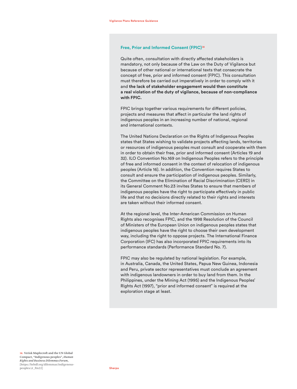#### **Free, Prior and Informed Consent (FPIC)**<sup>58</sup>

Quite often, consultation with directly affected stakeholders is mandatory, not only because of the Law on the Duty of Vigilance but because of other national or international texts that consecrate the concept of free, prior and informed consent (FPIC). This consultation must therefore be carried out imperatively in order to comply with it and **the lack of stakeholder engagement would then constitute a real violation of the duty of vigilance, because of non-compliance with FPIC.**

FPIC brings together various requirements for different policies, projects and measures that affect in particular the land rights of indigenous peoples in an increasing number of national, regional and international contexts.

The United Nations Declaration on the Rights of Indigenous Peoples states that States wishing to validate projects affecting lands, territories or resources of indigenous peoples must consult and cooperate with them in order to obtain their free, prior and informed consent (Articles 19 and 32). ILO Convention No.169 on Indigenous Peoples refers to the principle of free and informed consent in the context of relocation of indigenous peoples (Article 16). In addition, the Convention requires States to consult and ensure the participation of indigenous peoples. Similarly, the Committee on the Elimination of Racial Discrimination (CERD) in its General Comment No.23 invites States to ensure that members of indigenous peoples have the right to participate effectively in public life and that no decisions directly related to their rights and interests are taken without their informed consent.

At the regional level, the Inter-American Commission on Human Rights also recognises FPIC, and the 1998 Resolution of the Council of Ministers of the European Union on indigenous peoples states that indigenous peoples have the right to choose their own development way, including the right to oppose projects. The International Finance Corporation (IFC) has also incorporated FPIC requirements into its performance standards (Performance Standard No. 7).

FPIC may also be regulated by national legislation. For example, in Australia, Canada, the United States, Papua New Guinea, Indonesia and Peru, private sector representatives must conclude an agreement with indigenous landowners in order to buy land from them. In the Philippines, under the Mining Act (1995) and the Indigenous Peoples' Rights Act (1997), "prior and informed consent" is required at the exploration stage at least.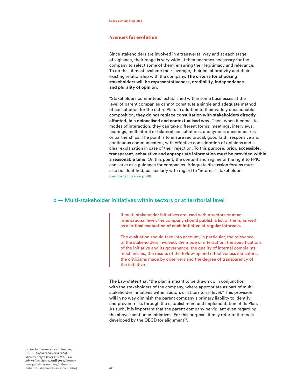#### Avenues for evolution

Since stakeholders are involved in a transversal way and at each stage of vigilance, their range is very wide. It then becomes necessary for the company to select some of them, ensuring their legitimacy and relevance. To do this, it must evaluate their leverage, their collaborativity and their existing relationship with the company. **The criteria for choosing stakeholders will be representativeness, credibility, independence and plurality of opinion.** 

"Stakeholders committees" established within some businesses at the level of parent companies cannot constitute a single and adequate method of consultation for the entire Plan. In addition to their widely questionable composition, **they do not replace consultation with stakeholders directly affected, in a delocalised and contextualised way**. Then, when it comes to modes of interaction, they can take different forms: meetings, interviews, hearings, multilateral or bilateral consultations, anonymous questionnaires or partnerships. The point is to ensure reciprocal, good faith, responsive and continuous communication, with effective consideration of opinions and a clear explanation in case of their rejection. To this purpose, **prior, accessible, transparent, exhaustive and appropriate information must be provided within a reasonable time**. On this point, the content and regime of the right to FPIC can serve as a guidance for companies. Adequate discussion forums must also be identified, particularly with regard to "internal" stakeholders (*see* box Soft law on p. 48).

# b — Multi-stakeholder initiatives within sectors or at territorial level

If multi-stakeholder initiatives are used within sectors or at an international level, the company should publish a list of them, as well as a c**ritical evaluation of each initiative at regular intervals.** 

The evaluation should take into account, in particular, the relevance of the stakeholders involved, the mode of interaction, the specifications of the initiative and its governance, the quality of internal complaints mechanisms, the results of the follow-up and effectiveness indicators, the criticisms made by observers and the degree of transparency of the initiative.

The Law states that "the plan is meant to be drawn up in conjunction with the stakeholders of the company, where appropriate as part of multistakeholder initiatives within sectors or at territorial level." This provision will in no way diminish the parent company's primary liability to identify and prevent risks through the establishment and implementation of its Plan. As such, it is important that the parent company be vigilant even regarding the above-mentioned initiatives. For this purpose, it may refer to the tools developed by the OECD for alignment<sup>59</sup>.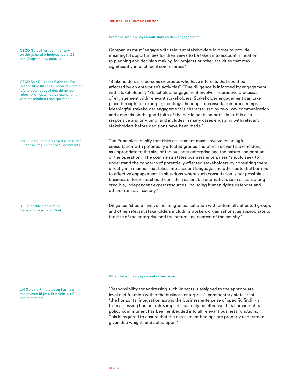#### What the soft law says about stakeholders engagement:

| <b>OECD Guidelines, commentary</b><br>on the general principles, para. 25<br>and Chapter II, A. para. 14                                                                                                  | Companies must "engage with relevant stakeholders in order to provide<br>meaningful opportunities for their views to be taken into account in relation<br>to planning and decision making for projects or other activities that may<br>significantly impact local communities".                                                                                                                                                                                                                                                                                                                                                                                                                                                                                                         |  |  |  |
|-----------------------------------------------------------------------------------------------------------------------------------------------------------------------------------------------------------|-----------------------------------------------------------------------------------------------------------------------------------------------------------------------------------------------------------------------------------------------------------------------------------------------------------------------------------------------------------------------------------------------------------------------------------------------------------------------------------------------------------------------------------------------------------------------------------------------------------------------------------------------------------------------------------------------------------------------------------------------------------------------------------------|--|--|--|
| <b>OECD Due Diligence Guidance For</b><br><b>Responsible Business Conduct, Section</b><br>I, Characteristics of due diligence -<br>Information obtained by exchanging<br>with stakeholders and question 9 | "Stakeholders are persons or groups who have interests that could be<br>affected by an enterprise's activities". "Due diligence is informed by engagement<br>with stakeholders"; "Stakeholder engagement involves interactive processes<br>of engagement with relevant stakeholders. Stakeholder engagement can take<br>place through, for example, meetings, hearings or consultation proceedings.<br>Meaningful stakeholder engagement is characterised by two-way communication<br>and depends on the good faith of the participants on both sides. It is also<br>responsive and on-going, and includes in many cases engaging with relevant<br>stakeholders before decisions have been made."                                                                                       |  |  |  |
| <b>UN Guiding Principles on Business and</b><br>Human Rights, Principle 18 comments                                                                                                                       | The Principles specify that risks assessment must "involve meaningful<br>consultation with potentially affected groups and other relevant stakeholders,<br>as appropriate to the size of the business enterprise and the nature and context<br>of the operation." The comments states business enterprises "should seek to<br>understand the concerns of potentially affected stakeholders by consulting them<br>directly in a manner that takes into account language and other potential barriers<br>to effective engagement. In situations where such consultation is not possible,<br>business enterprises should consider reasonable alternatives such as consulting<br>credible, independent expert resources, including human rights defender and<br>others from civil society". |  |  |  |
| ILO Tripartite Declaration,<br>General Policy, para. 10 e)                                                                                                                                                | Diligence "should involve meaningful consultation with potentially affected groups<br>and other relevant stakeholders including workers organizations, as appropriate to<br>the size of the enterprise and the nature and context of the activity."                                                                                                                                                                                                                                                                                                                                                                                                                                                                                                                                     |  |  |  |

#### What the soft law says about governance:

"Responsibility for addressing such impacts is assigned to the appropriate level and function within the business enterprise"; commentary states that "the horizontal integration across the business enterprise of specific findings from assessing human rights impacts can only be effective if its human rights policy commitment has been embedded into all relevant business functions. This is required to ensure that the assessment findings are properly understood, given due weight, and acted upon."

UN Guiding Principles on Business and Human Rights, Principle 19 (a) and comments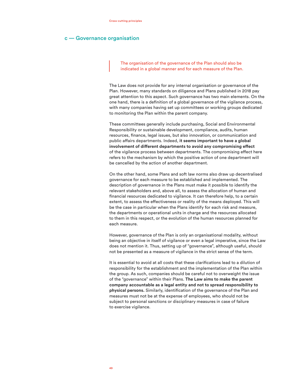# c — Governance organisation

The organisation of the governance of the Plan should also be indicated in a global manner and for each measure of the Plan.

The Law does not provide for any internal organisation or governance of the Plan. However, many standards on diligence and Plans published in 2018 pay great attention to this aspect. Such governance has two main elements. On the one hand, there is a definition of a global governance of the vigilance process, with many companies having set up committees or working groups dedicated to monitoring the Plan within the parent company.

These committees generally include purchasing, Social and Environmental Responsibility or sustainable development, compliance, audits, human resources, finance, legal issues, but also innovation, or communication and public affairs departments. Indeed, **it seems important to have a global involvement of different departments to avoid any compromising effect**  of the vigilance process between departments. The compromising effect here refers to the mechanism by which the positive action of one department will be cancelled by the action of another department.

On the other hand, some Plans and soft law norms also draw up decentralised governance for each measure to be established and implemented. The description of governance in the Plans must make it possible to identify the relevant stakeholders and, above all, to assess the allocation of human and financial resources dedicated to vigilance. It can therefore help, to a certain extent, to assess the effectiveness or reality of the means deployed. This will be the case in particular when the Plans identify for each risk and measure, the departments or operational units in charge and the resources allocated to them in this respect, or the evolution of the human resources planned for each measure.

However, governance of the Plan is only an organisational modality, without being an objective in itself of vigilance or even a legal imperative, since the Law does not mention it. Thus, setting up of "governance", although useful, should not be presented as a measure of vigilance in the strict sense of the term.

It is essential to avoid at all costs that these clarifications lead to a dilution of responsibility for the establishment and the implementation of the Plan within the group. As such, companies should be careful not to overweight the issue of the "governance" within their Plans. **The Law aims to make the parent company accountable as a legal entity and not to spread responsibility to physical persons.** Similarly, identification of the governance of the Plan and measures must not be at the expense of employees, who should not be subject to personal sanctions or disciplinary measures in case of failure to exercise vigilance.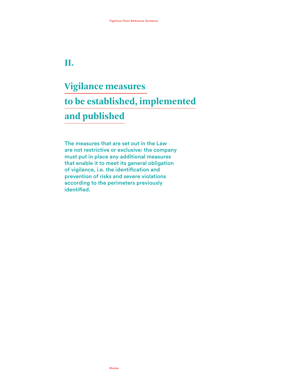# **II.**

# **Vigilance measures to be established, implemented and published**

The measures that are set out in the Law are not restrictive or exclusive: the company must put in place any additional measures that enable it to meet its general obligation of vigilance, i.e. the identification and prevention of risks and severe violations according to the perimeters previously identified.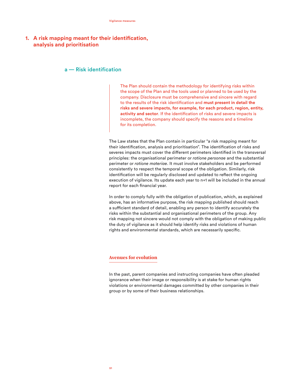# **1. A risk mapping meant for their identification, analysis and prioritisation**

# a — Risk identification

The Plan should contain the methodology for identifying risks within the scope of the Plan and the tools used or planned to be used by the company. Disclosure must be comprehensive and sincere with regard to the results of the risk identification and **must present in detail the risks and severe impacts, for example, for each product, region, entity, activity and sector**. If the identification of risks and severe impacts is incomplete, the company should specify the reasons and a timeline for its completion.

The Law states that the Plan contain in particular "a risk mapping meant for their identification, analysis and prioritisation". The identification of risks and severes impacts must cover the different perimeters identified in the transversal principles: the organisational perimeter or *ratione personae* and the substantial perimeter or *ratione materiae*. It must involve stakeholders and be performed consistently to respect the temporal scope of the obligation. Similarly, risk identification will be regularly disclosed and updated to reflect the ongoing execution of vigilance. Its update each year to n+1 will be included in the annual report for each financial year.

In order to comply fully with the obligation of publication, which, as explained above, has an informative purpose, the risk mapping published should reach a sufficient standard of detail, enabling any person to identify accurately the risks within the substantial and organisational perimeters of the group. Any risk mapping not sincere would not comply with the obligation of making public the duty of vigilance as it should help identify risks and violations of human rights and environmental standards, which are necessarily specific.

# Avenues for evolution

In the past, parent companies and instructing companies have often pleaded ignorance when their image or responsibility is at stake for human rights violations or environmental damages committed by other companies in their group or by some of their business relationships.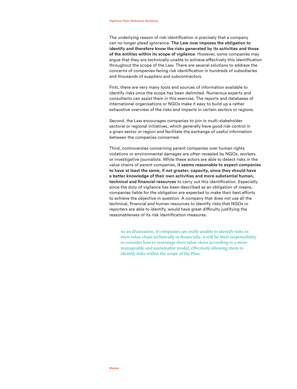The underlying reason of risk identification is precisely that a company can no longer plead ignorance. **The Law now imposes the obligation to identify and therefore know the risks generated by its activities and those of the entities within its scope of vigilance**. However, some companies may argue that they are technically unable to achieve effectively this identification throughout the scope of the Law. There are several solutions to address the concerns of companies facing risk identification in hundreds of subsidiaries and thousands of suppliers and subcontractors.

First, there are very many tools and sources of information available to identify risks once the scope has been delimited. Numerous experts and consultants can assist them in this exercise. The reports and databases of international organisations or NGOs make it easy to build up a rather exhaustive overview of the risks and impacts in certain sectors or regions.

Second, the Law encourages companies to join in multi-stakeholder sectoral or regional initiatives, which generally have good risk control in a given sector or region and facilitate the exchange of useful information between the companies concerned.

Third, controversies concerning parent companies over human rights violations or environmental damages are often revealed by NGOs, workers or investigative journalists. While these actors are able to detect risks in the value chains of parent companies, **it seems reasonable to expect companies to have at least the same, if not greater, capacity, since they should have a better knowledge of their own activities and more substantial human, technical and financial resources** to carry out this identification. Especially since the duty of vigilance has been described as an obligation of means, companies liable for the obligation are expected to make their best efforts to achieve the objective in question. A company that does not use all the technical, financial and human resources to identify risks that NGOs or reporters are able to identify, would have great difficulty justifying the reasonableness of its risk identification measures.

As an illustration, if companies are really unable to identify risks in their value chain technically or financially, it will be their responsibility to consider how to rearrange their value chain according to a more manageable and sustainable model, effectively allowing them to identify risks within the scope of the Plan.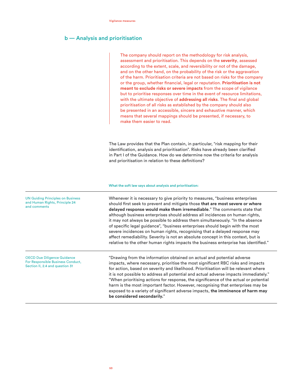# b — Analysis and prioritisation

The company should report on the methodology for risk analysis, assessment and prioritisation. This depends on the **severity**, assessed according to the extent, scale, and reversibility or not of the damage, and on the other hand, on the probability of the risk or the aggravation of the harm. Prioritisation criteria are not based on risks for the company or the group, whether financial, legal or reputation. **Prioritisation is not meant to exclude risks or severe impacts** from the scope of vigilance but to prioritise responses over time in the event of resource limitations, with the ultimate objective of **addressing all risks**. The final and global prioritisation of all risks as established by the company should also be presented in an accessible, sincere and exhaustive manner, which means that several mappings should be presented, if necessary, to make them easier to read.

The Law provides that the Plan contain, in particular, "risk mapping for their identification, analysis and prioritisation". Risks have already been clarified in Part I of the Guidance. How do we determine now the criteria for analysis and prioritisation in relation to these definitions?

What the soft law says about analysis and prioritisation:

| <b>UN Guiding Principles on Business</b><br>and Human Rights, Principle 24<br>and comments                 | Whenever it is necessary to give priority to measures, "business enterprises<br>should first seek to prevent and mitigate those that are most severe or where<br>delayed response would make them irremediable." The comments state that<br>although business enterprises should address all incidences on human rights,<br>it may not always be possible to address them simultaneously. "In the absence<br>of specific legal guidance", "business enterprises should begin with the most<br>severe incidences on human rights, recognising that a delayed response may<br>affect remediability. Severity is not an absolute concept in this context, but is<br>relative to the other human rights impacts the business enterprise has identified." |
|------------------------------------------------------------------------------------------------------------|------------------------------------------------------------------------------------------------------------------------------------------------------------------------------------------------------------------------------------------------------------------------------------------------------------------------------------------------------------------------------------------------------------------------------------------------------------------------------------------------------------------------------------------------------------------------------------------------------------------------------------------------------------------------------------------------------------------------------------------------------|
| <b>OECD Due Diligence Guidance</b><br>For Responsible Business Conduct,<br>Section II, 2.4 and question 31 | "Drawing from the information obtained on actual and potential adverse<br>impacts, where necessary, prioritise the most significant RBC risks and impacts<br>for action, based on severity and likelihood. Prioritisation will be relevant where<br>it is not possible to address all potential and actual adverse impacts immediately."<br>"When prioritising actions for response, the significance of the actual or potential<br>harm is the most important factor. However, recognising that enterprises may be<br>exposed to a variety of significant adverse impacts, the imminence of harm may                                                                                                                                                |

**be considered secondarily.**"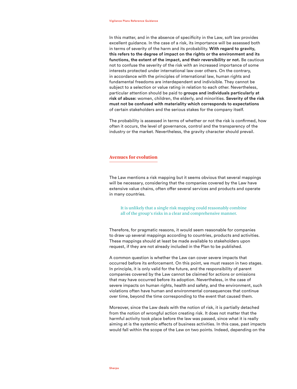In this matter, and in the absence of specificity in the Law, soft law provides excellent guidance. In the case of a risk, its importance will be assessed both in terms of severity of the harm and its probability. **With regard to gravity, this refers to the degree of impact on the rights or the environment and its functions, the extent of the impact, and their reversibility or not.** Be cautious not to confuse the severity of the risk with an increased importance of some interests protected under international law over others. On the contrary, in accordance with the principles of international law, human rights and fundamental freedoms are interdependent and indivisible. They cannot be subject to a selection or value rating in relation to each other. Nevertheless, particular attention should be paid to **groups and individuals particularly at risk of abuse:** women, children, the elderly, and minorities. **Severity of the risk must not be confused with materiality which corresponds to expectations** of certain stakeholders and the serious stakes for the company itself.

The probability is assessed in terms of whether or not the risk is confirmed, how often it occurs, the level of governance, control and the transparency of the industry or the market. Nevertheless, the gravity character should prevail.

#### Avenues for evolution

The Law mentions a risk mapping but it seems obvious that several mappings will be necessary, considering that the companies covered by the Law have extensive value chains, often offer several services and products and operate in many countries.

#### It is unlikely that a single risk mapping could reasonably combine all of the group's risks in a clear and comprehensive manner.

Therefore, for pragmatic reasons, it would seem reasonable for companies to draw up several mappings according to countries, products and activities. These mappings should at least be made available to stakeholders upon request, if they are not already included in the Plan to be published.

A common question is whether the Law can cover severe impacts that occurred before its enforcement. On this point, we must reason in two stages. In principle, it is only valid for the future, and the responsibility of parent companies covered by the Law cannot be claimed for actions or omissions that may have occurred before its adoption. Nevertheless, in the case of severe impacts on human rights, health and safety, and the environment, such violations often have human and environmental consequences that continue over time, beyond the time corresponding to the event that caused them.

Moreover, since the Law deals with the notion of risk, it is partially detached from the notion of wrongful action creating risk. It does not matter that the harmful activity took place before the law was passed, since what it is really aiming at is the systemic effects of business activities. In this case, past impacts would fall within the scope of the Law on two points. Indeed, depending on the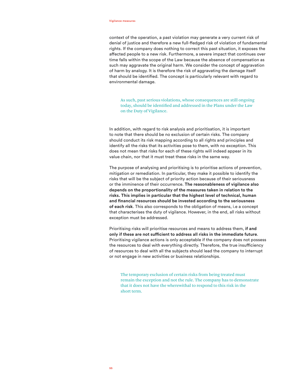context of the operation, a past violation may generate a very current risk of denial of justice and therefore a new full-fledged risk of violation of fundamental rights. If the company does nothing to correct this past situation, it exposes the affected people to a new risk. Furthermore, a severe impact that continues over time falls within the scope of the Law because the absence of compensation as such may aggravate the original harm. We consider the concept of aggravation of harm by analogy. It is therefore the risk of aggravating the damage itself that should be identified. The concept is particularly relevant with regard to environmental damage.

As such, past serious violations, whose consequences are still ongoing today, should be identified and addressed in the Plans under the Law on the Duty of Vigilance.

In addition, with regard to risk analysis and prioritisation, it is important to note that there should be no exclusion of certain risks. The company should conduct its risk mapping according to all rights and principles and identify all the risks that its activities pose to them, with no exception. This does not mean that risks for each of these rights will indeed appear in its value chain, nor that it must treat these risks in the same way.

The purpose of analysing and prioritising is to prioritise actions of prevention, mitigation or remediation. In particular, they make it possible to identify the risks that will be the subject of priority action because of their seriousness or the imminence of their occurrence. **The reasonableness of vigilance also depends on the proportionality of the measures taken in relation to the risks. This implies in particular that the highest level of technical, human and financial resources should be invested according to the seriousness of each risk**. This also corresponds to the obligation of means, i.e a concept that characterises the duty of vigilance. However, in the end, all risks without exception must be addressed.

Prioritising risks will prioritise resources and means to address them, **if and only if these are not sufficient to address all risks in the immediate future**. Prioritising vigilance actions is only acceptable if the company does not possess the resources to deal with everything directly. Therefore, the true insufficiency of resources to deal with all the subjects should lead the company to interrupt or not engage in new activities or business relationships.

The temporary exclusion of certain risks from being treated must remain the exception and not the rule. The company has to demonstrate that it does not have the wherewithal to respond to this risk in the short term.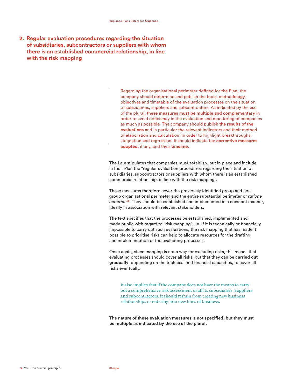# **2. Regular evaluation procedures regarding the situation of subsidiaries, subcontractors or suppliers with whom there is an established commercial relationship, in line with the risk mapping**

Regarding the organisational perimeter defined for the Plan, the company should determine and publish the tools, methodology, objectives and timetable of the evaluation processes on the situation of subsidiaries, suppliers and subcontractors. As indicated by the use of the plural, **these measures must be multiple and complementary** in order to avoid deficiency in the evaluation and monitoring of companies as much as possible. The company should publish **the results of the evaluations** and in particular the relevant indicators and their method of elaboration and calculation, in order to highlight breakthroughs, stagnation and regression. It should indicate the **corrective measures adopted**, if any, and their **timeline.**

The Law stipulates that companies must establish, put in place and include in their Plan the "regular evaluation procedures regarding the situation of subsidiaries, subcontractors or suppliers with whom there is an established commercial relationship, in line with the risk mapping".

These measures therefore cover the previously identified group and nongroup organisational perimeter and the entire substantial perimeter or *ratione materiae<sup>60</sup>*. They should be established and implemented in a constant manner, ideally in association with relevant stakeholders.

The text specifies that the processes be established, implemented and made public with regard to "risk mapping", i.e. if it is technically or financially impossible to carry out such evaluations, the risk mapping that has made it possible to prioritise risks can help to allocate resources for the drafting and implementation of the evaluating processes.

Once again, since mapping is not a way for excluding risks, this means that evaluating processes should cover all risks, but that they can be **carried out gradually**, depending on the technical and financial capacities, to cover all risks eventually.

It also implies that if the company does not have the means to carry out a comprehensive risk assessment of all its subsidiaries, suppliers and subcontractors, it should refrain from creating new business relationships or entering into new lines of business.

**The nature of these evaluation measures is not specified, but they must be multiple as indicated by the use of the plural.**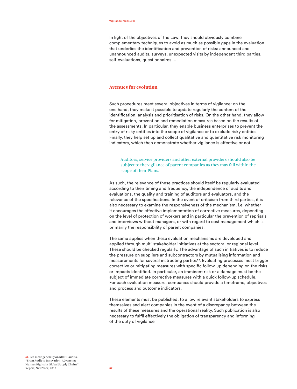In light of the objectives of the Law, they should obviously combine complementary techniques to avoid as much as possible gaps in the evaluation that underlies the identification and prevention of risks: announced and unannounced audits, surveys, unexpected visits by independent third parties, self-evaluations, questionnaires....

# Avenues for evolution

Such procedures meet several objectives in terms of vigilance: on the one hand, they make it possible to update regularly the content of the identification, analysis and prioritisation of risks. On the other hand, they allow for mitigation, prevention and remediation measures based on the results of the assessments. In particular, they enable business enterprises to prevent the entry of risky entities into the scope of vigilance or to exclude risky entities. Finally, they help set up and collect qualitative and quantitative risk monitoring indicators, which then demonstrate whether vigilance is effective or not.

### Auditors, service providers and other external providers should also be subject to the vigilance of parent companies as they may fall within the scope of their Plans.

As such, the relevance of these practices should itself be regularly evaluated according to their timing and frequency, the independence of audits and evaluations, the quality and training of auditors and evaluators, and the relevance of the specifications. In the event of criticism from third parties, it is also necessary to examine the responsiveness of the mechanism, i.e. whether it encourages the effective implementation of corrective measures, depending on the level of protection of workers and in particular the prevention of reprisals and interviews without managers, or with regard to cost management which is primarily the responsibility of parent companies.

The same applies when these evaluation mechanisms are developed and applied through multi-stakeholder initiatives at the sectoral or regional level. These should be checked regularly. The advantage of such initiatives is to reduce the pressure on suppliers and subcontractors by mutualising information and measurements for several instructing parties<sup>61</sup>. Evaluating processes must trigger corrective or mitigating measures with specific follow-up depending on the risks or impacts identified. In particular, an imminent risk or a damage must be the subject of immediate corrective measures with a quick follow-up schedule. For each evaluation measure, companies should provide a timeframe, objectives and process and outcome indicators.

These elements must be published, to allow relevant stakeholders to express themselves and alert companies in the event of a discrepancy between the results of these measures and the operational reality. Such publication is also necessary to fulfil effectively the obligation of transparency and informing of the duty of vigilance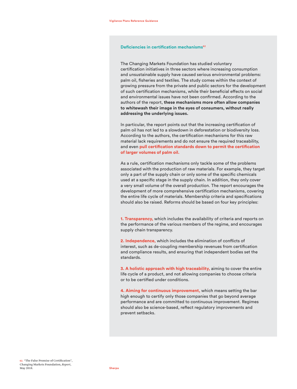#### **Deficiencies in certification mechanisms**<sup>62</sup>

The Changing Markets Foundation has studied voluntary certification initiatives in three sectors where increasing consumption and unsustainable supply have caused serious environmental problems: palm oil, fisheries and textiles. The study comes within the context of growing pressure from the private and public sectors for the development of such certification mechanisms, while their beneficial effects on social and environmental issues have not been confirmed. According to the authors of the report, **these mechanisms more often allow companies to whitewash their image in the eyes of consumers, without really addressing the underlying issues.**

In particular, the report points out that the increasing certification of palm oil has not led to a slowdown in deforestation or biodiversity loss. According to the authors, the certification mechanisms for this raw material lack requirements and do not ensure the required traceability, and even **pull certification standards down to permit the certification of larger volumes of palm oil.**

As a rule, certification mechanisms only tackle some of the problems associated with the production of raw materials. For example, they target only a part of the supply chain or only some of the specific chemicals used at a specific stage in the supply chain. In addition, they only cover a very small volume of the overall production. The report encourages the development of more comprehensive certification mechanisms, covering the entire life cycle of materials. Membership criteria and specifications should also be raised. Reforms should be based on four key principles:

**1. Transparency,** which includes the availability of criteria and reports on the performance of the various members of the regime, and encourages supply chain transparency.

**2. Independence,** which includes the elimination of conflicts of interest, such as de-coupling membership revenues from certification and compliance results, and ensuring that independent bodies set the standards.

**3. A holistic approach with high traceability,** aiming to cover the entire life cycle of a product, and not allowing companies to choose criteria or to be certified under conditions.

**4. Aiming for continuous improvement,** which means setting the bar high enough to certify only those companies that go beyond average performance and are committed to continuous improvement. Regimes should also be science-based, reflect regulatory improvements and prevent setbacks.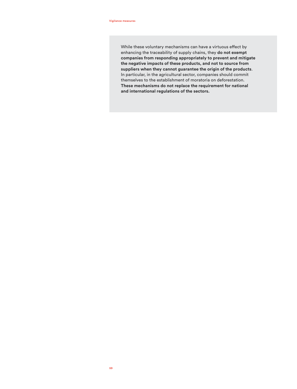While these voluntary mechanisms can have a virtuous effect by enhancing the traceability of supply chains, they **do not exempt companies from responding appropriately to prevent and mitigate the negative impacts of these products, and not to source from suppliers when they cannot guarantee the origin of the products**. In particular, in the agricultural sector, companies should commit themselves to the establishment of moratoria on deforestation. **These mechanisms do not replace the requirement for national and international regulations of the sectors.**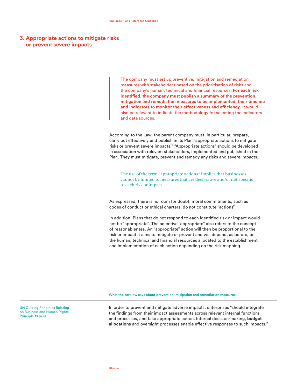# **3. Appropriate actions to mitigate risks or prevent severe impacts**

The company must set up preventive, mitigation and remediation measures with stakeholders based on the prioritisation of risks and the company's human, technical and financial resources. **For each risk identified, the company must publish a summary of the prevention, mitigation and remediation measures to be implemented, their timeline and indicators to monitor their effectiveness and efficiency**. It would also be relevant to indicate the methodology for selecting the indicators and data sources.

According to the Law, the parent company must, in particular, prepare, carry out effectively and publish in its Plan "appropriate actions to mitigate risks or prevent severe impacts." "Appropriate actions" should be developed in association with relevant stakeholders, implemented and published in the Plan. They must mitigate, prevent and remedy any risks and severe impacts.

The use of the term "appropriate actions" implies that businesses cannot be limited to measures that are declarative and/or not specific to each risk or impact.

As expressed, there is no room for doubt: moral commitments, such as codes of conduct or ethical charters, do not constitute "actions".

In addition, Plans that do not respond to each identified risk or impact would not be "appropriate". The adjective "appropriate" also refers to the concept of reasonableness. An "appropriate" action will then be proportional to the risk or impact it aims to mitigate or prevent and will depend, as before, on the human, technical and financial resources allocated to the establishment and implementation of each action depending on the risk mapping.

#### What the soft law says about prevention, mitigation and remediation measures:

UN Guiding Principles Relating on Business and Human Rights, Principle 19 (a.ii)

In order to prevent and mitigate adverse impacts, enterprises "should integrate the findings from their impact assessments across relevant internal functions and processes, and take appropriate action. Internal decision-making, **budget allocations** and oversight processes enable effective responses to such impacts."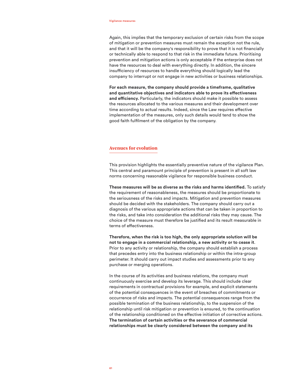Again, this implies that the temporary exclusion of certain risks from the scope of mitigation or prevention measures must remain the exception not the rule, and that it will be the company's responsibility to prove that it is not financially or technically able to respond to that risk in the immediate future. Prioritising prevention and mitigation actions is only acceptable if the enterprise does not have the resources to deal with everything directly. In addition, the sincere insufficiency of resources to handle everything should logically lead the company to interrupt or not engage in new activities or business relationships.

**For each measure, the company should provide a timeframe, qualitative and quantitative objectives and indicators able to prove its effectiveness and efficiency.** Particularly, the indicators should make it possible to assess the resources allocated to the various measures and their development over time according to actual results. Indeed, since the Law requires effective implementation of the measures, only such details would tend to show the good faith fulfilment of the obligation by the company.

# Avenues for evolution

This provision highlights the essentially preventive nature of the vigilance Plan. This central and paramount principle of prevention is present in all soft law norms concerning reasonable vigilance for responsible business conduct.

**These measures will be as diverse as the risks and harms identified.** To satisfy the requirement of reasonableness, the measures should be proportionate to the seriousness of the risks and impacts. Mitigation and prevention measures should be decided with the stakeholders. The company should carry out a diagnosis of the various appropriate actions that can be taken in proportion to the risks, and take into consideration the additional risks they may cause. The choice of the measure must therefore be justified and its result measurable in terms of effectiveness.

**Therefore, when the risk is too high, the only appropriate solution will be not to engage in a commercial relationship, a new activity or to cease it**. Prior to any activity or relationship, the company should establish a process that precedes entry into the business relationship or within the intra-group perimeter. It should carry out impact studies and assessments prior to any purchase or merging operations.

In the course of its activities and business relations, the company must continuously exercise and develop its leverage. This should include clear requirements in contractual provisions for example, and explicit statements of the potential consequences in the event of breaches of commitments or occurrence of risks and impacts. The potential consequences range from the possible termination of the business relationship, to the suspension of the relationship until risk mitigation or prevention is ensured, to the continuation of the relationship conditioned on the effective initiation of corrective actions. **The termination of certain activities or the severance of commercial relationships must be clearly considered between the company and its**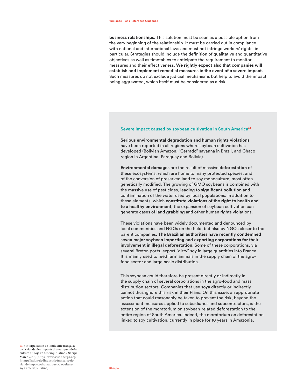**business relationships**. This solution must be seen as a possible option from the very beginning of the relationship. It must be carried out in compliance with national and international laws and must not infringe workers' rights, in particular. Strategies should include the definition of qualitative and quantitative objectives as well as timetables to anticipate the requirement to monitor measures and their effectiveness. **We rightly expect also that companies will establish and implement remedial measures in the event of a severe impact**. Such measures do not exclude judicial mechanisms but help to avoid the impact being aggravated, which itself must be considered as a risk.

#### **Severe impact caused by soybean cultivation in South America**<sup>63</sup>

**Serious environmental degradation and human rights violations** have been reported in all regions where soybean cultivation has developed (Bolivian Amazon, "Cerrado" savanna in Brazil, and Chaco region in Argentina, Paraguay and Bolivia).

**Environmental damages** are the result of massive **deforestation** of these ecosystems, which are home to many protected species, and of the conversion of preserved land to soy monoculture, most often genetically modified. The growing of GMO soybeans is combined with the massive use of pesticides, leading to **significant pollution** and contamination of the water used by local populations. In addition to these elements, which **constitute violations of the right to health and to a healthy environment**, the expansion of soybean cultivation can generate cases of **land grabbing** and other human rights violations.

These violations have been widely documented and denounced by local communities and NGOs on the field, but also by NGOs closer to the parent companies. **The Brazilian authorities have recently condemned seven major soybean importing and exporting corporations for their involvement in illegal deforestation**. Some of these corporations, via several Breton ports, export "dirty" soy in large quantities into France. It is mainly used to feed farm animals in the supply chain of the agrofood sector and large-scale distribution.

This soybean could therefore be present directly or indirectly in the supply chain of several corporations in the agro-food and mass distribution sectors. Companies that use soya directly or indirectly cannot thus ignore this risk in their Plans. On this issue, an appropriate action that could reasonably be taken to prevent the risk, beyond the assessment measures applied to subsidiaries and subcontractors, is the extension of the moratorium on soybean-related deforestation to the entire region of South America. Indeed, the moratorium on deforestation linked to soy cultivation, currently in place for 10 years in Amazonia,

63. «Interpellation de l'industrie française de la viande : les impacts dramatiques de la culture du soja en Amérique latine », Sherpa, March 2018, [[https://www.asso-sherpa.org/](https://www.asso-sherpa.org/interpellation-de-lindustrie-francaise-de-viande-impacts-dramatiques-de-) [interpellation-de-lindustrie-francaise-de](https://www.asso-sherpa.org/interpellation-de-lindustrie-francaise-de-viande-impacts-dramatiques-de-)[viande-impacts-dramatiques-de-culture](https://www.asso-sherpa.org/interpellation-de-lindustrie-francaise-de-viande-impacts-dramatiques-de-)[soja-amerique-latine\]](https://www.asso-sherpa.org/interpellation-de-lindustrie-francaise-de-viande-impacts-dramatiques-de-)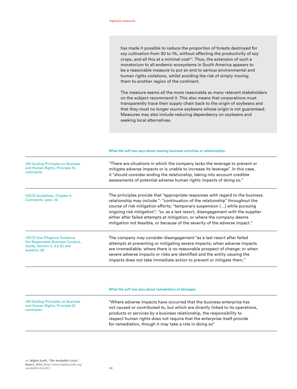has made it possible to reduce the proportion of forests destroyed for soy cultivation from 30 to 1%, without affecting the productivity of soy crops, and all this at a minimal cost<sup>64</sup>. Thus, the extension of such a moratorium to all endemic ecosystems in South America appears to be a reasonable measure to put an end to serious environmental and human rights violations, whilst avoiding the risk of simply moving them to another region of the continent.

The measure seems all the more reasonable as many relevant stakeholders on the subject recommend it. This also means that corporations must transparently trace their supply chain back to the origin of soybeans and that they must no longer source soybeans whose origin is not guaranteed. Measures may also include reducing dependency on soybeans and seeking local alternatives.

#### What the soft law says about ceasing business activities or relationships:

| <b>UN Guiding Principles on Business</b><br>and Human Rights, Principle 19,<br>comments                                  | "There are situations in which the company lacks the leverage to prevent or<br>mitigate adverse impacts or is unable to increase its leverage". In this case,<br>it "should consider ending the relationship, taking into account credible<br>assessments of potential adverse human rights impacts of doing so."                                                                                                                                                                          |
|--------------------------------------------------------------------------------------------------------------------------|--------------------------------------------------------------------------------------------------------------------------------------------------------------------------------------------------------------------------------------------------------------------------------------------------------------------------------------------------------------------------------------------------------------------------------------------------------------------------------------------|
| <b>OECD Guidelines, Chapter II,</b><br>Comments, para. 22                                                                | The principles provide that "appropriate responses with regard to the business<br>relationship may include ": "continuation of the relationship" throughout the<br>course of risk mitigation efforts; "temporary suspension () while pursuing<br>ongoing risk mitigation"; "or, as a last resort, disengagement with the supplier<br>either after failed attempts at mitigation, or where the company deems<br>mitigation not feasible, or because of the severity of the adverse impact." |
| <b>OECD Due Diligence Guidance</b><br>For Responsible Business Conduct,<br>Guide, Section II, 3.2 (h) and<br>question 39 | The company may consider disengagement "as a last resort after failed<br>attempts at preventing or mitigating severe impacts; when adverse impacts<br>are irremediable; where there is no reasonable prospect of change; or when<br>severe adverse impacts or risks are identified and the entity causing the<br>impacts does not take immediate action to prevent or mitigate them."                                                                                                      |

#### What the soft law says about remediation of damages:

| <b>UN Guiding Principles on Business</b><br>and Human Rights, Principle 22<br>comments | "Where adverse impacts have occurred that the business enterprise has<br>not caused or contributed to, but which are directly linked to its operations,<br>products or services by a business relationship, the responsibility to<br>respect human rights does not require that the enterprise itself provide |
|----------------------------------------------------------------------------------------|---------------------------------------------------------------------------------------------------------------------------------------------------------------------------------------------------------------------------------------------------------------------------------------------------------------|
|                                                                                        | for remediation, though it may take a role in doing so"                                                                                                                                                                                                                                                       |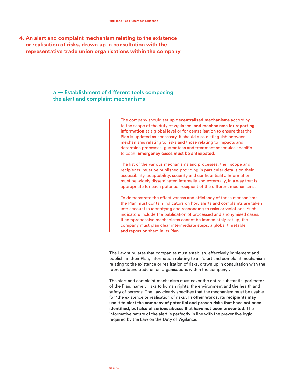**4. An alert and complaint mechanism relating to the existence or realisation of risks, drawn up in consultation with the representative trade union organisations within the company**

# a — Establishment of different tools composing the alert and complaint mechanisms

The company should set up **decentralised mechanisms** according to the scope of the duty of vigilance, **and mechanisms for reporting information** at a global level or for centralisation to ensure that the Plan is updated as necessary. It should also distinguish between mechanisms relating to risks and those relating to impacts and determine processes, guarantees and treatment schedules specific to each. **Emergency cases must be anticipated.**

The list of the various mechanisms and processes, their scope and recipients, must be published providing in particular details on their accessibility, adaptability, security and confidentiality. Information must be widely disseminated internally and externally, in a way that is appropriate for each potential recipient of the different mechanisms.

To demonstrate the effectiveness and efficiency of those mechanisms, the Plan must contain indicators on how alerts and complaints are taken into account in identifying and responding to risks or violations. Such indicators include the publication of processed and anonymised cases. If comprehensive mechanisms cannot be immediately set up, the company must plan clear intermediate steps, a global timetable and report on them in its Plan.

The Law stipulates that companies must establish, effectively implement and publish, in their Plan, information relating to an "alert and complaint mechanism relating to the existence or realisation of risks, drawn up in consultation with the representative trade union organisations within the company".

The alert and complaint mechanism must cover the entire substantial perimeter of the Plan, namely risks to human rights, the environment and the health and safety of persons. The Law clearly specifies that the mechanism must be usable for "the existence or realisation of risks". **In other words, its recipients may use it to alert the company of potential and proven risks that have not been identified, but also of serious abuses that have not been prevented**. The informative nature of the alert is perfectly in line with the preventive logic required by the Law on the Duty of Vigilance.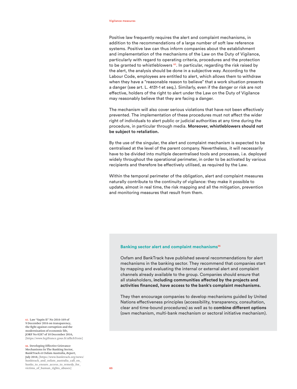Positive law frequently requires the alert and complaint mechanisms, in addition to the recommendations of a large number of soft law reference systems. Positive law can thus inform companies about the establishment and implementation of the mechanisms of the Law on the Duty of Vigilance, particularly with regard to operating criteria, procedures and the protection to be granted to whistleblowers <sup>65</sup>. In particular, regarding the risk raised by the alert, the analysis should be done in a subjective way. According to the Labour Code, employees are entitled to alert, which allows them to withdraw when they have a "reasonable reason to believe" that a work situation presents a danger (see art. L. 4131-1 et seq.). Similarly, even if the danger or risk are not effective, holders of the right to alert under the Law on the Duty of Vigilance may reasonably believe that they are facing a danger.

The mechanism will also cover serious violations that have not been effectively prevented. The implementation of these procedures must not affect the wider right of individuals to alert public or judicial authorities at any time during the procedure, in particular through media. **Moreover, whistleblowers should not be subject to retaliation.**

By the use of the singular, the alert and complaint mechanism is expected to be centralised at the level of the parent company. Nevertheless, it will necessarily have to be divided into multiple decentralised tools and processes, i.e. deployed widely throughout the operational perimeter, in order to be activated by various recipients and therefore be effectively utilised, as required by the Law.

Within the temporal perimeter of the obligation, alert and complaint measures naturally contribute to the continuity of vigilance: they make it possible to update, almost in real time, the risk mapping and all the mitigation, prevention and monitoring measures that result from them.

#### **Banking sector alert and complaint mechanisms<sup>66</sup>**

Oxfam and BankTrack have published several recommendations for alert mechanisms in the banking sector. They recommend that companies start by mapping and evaluating the internal or external alert and complaint channels already available to the group. Companies should ensure that all stakeholders, **including communities affected by the projects and activities financed, have access to the bank's complaint mechanisms.**

They then encourage companies to develop mechanisms guided by United Nations effectiveness principles (accessibility, transparency, consultation, clear and time-bound procedures) as well as to **combine different options** (own mechanism, multi-bank mechanism or sectoral initiative mechanism).

65. Law "Sapin II" No 2016-169 of 9 December 2016 on transparency, the fight against corruption and the modernisation of economic life, JORF No 0287 of 10 December 2016, [<https://www.legifrance.gouv.fr/affichTexte>]

66. Developing Effective Grievance Mechanisms In The Banking Sector, BankTrack et Oxfam Australia, *Report*, July 2018, [[https://www.banktrack.org/news/](https://www.banktrack.org/news/banktrack_and_oxfam_australia_call_on_banks_to_ensure_access_to_remed) [banktrack\\_and\\_oxfam\\_australia\\_call\\_on\\_](https://www.banktrack.org/news/banktrack_and_oxfam_australia_call_on_banks_to_ensure_access_to_remed) [banks\\_to\\_ensure\\_access\\_to\\_remedy\\_for\\_](https://www.banktrack.org/news/banktrack_and_oxfam_australia_call_on_banks_to_ensure_access_to_remed) [victims\\_of\\_human\\_rights\\_abuses](https://www.banktrack.org/news/banktrack_and_oxfam_australia_call_on_banks_to_ensure_access_to_remed)]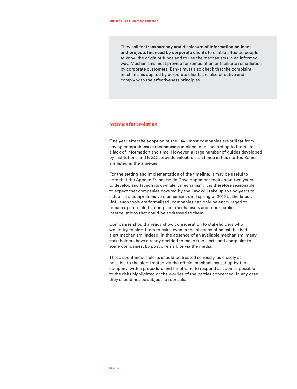They call for **transparency and disclosure of information on loans and projects financed by corporate clients** to enable affected people to know the origin of funds and to use the mechanisms in an informed way. Mechanisms must provide for remediation or facilitate remediation by corporate customers. Banks must also check that the complaint mechanisms applied by corporate clients are also effective and comply with the effectiveness principles.

#### Avenues for evolution

One year after the adoption of the Law, most companies are still far from having comprehensive mechanisms in place, due - according to them - to a lack of information and time. However, a large number of guides developed by institutions and NGOs provide valuable assistance in this matter. Some are listed in the annexes.

For the setting and implementation of the timeline, it may be useful to note that the Agence Française de Développement took about two years to develop and launch its own alert mechanism. It is therefore reasonable to expect that companies covered by the Law will take up to two years to establish a comprehensive mechanism, until spring of 2019 at the latest. Until such tools are formalised, companies can only be encouraged to remain open to alerts, complaint mechanisms and other public interpellations that could be addressed to them.

Companies should already show consideration to stakeholders who would try to alert them to risks, even in the absence of an established alert mechanism. Indeed, in the absence of an available mechanism, many stakeholders have already decided to make free alerts and complaint to some companies, by post or email, or via the media.

These spontaneous alerts should be treated seriously, as closely as possible to the alert treated via the official mechanisms set up by the company, with a procedure and timeframe to respond as soon as possible to the risks highlighted or the worries of the parties concerned. In any case, they should not be subject to reprisals.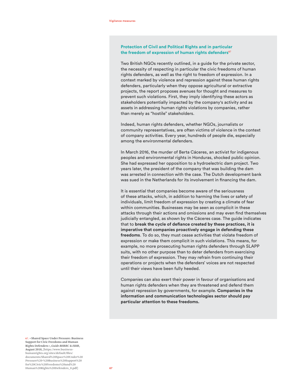#### **Protection of Civil and Political Rights and in particular the freedom of expression of human rights defenders**<sup>67</sup>

Two British NGOs recently outlined, in a guide for the private sector, the necessity of respecting in particular the civic freedoms of human rights defenders, as well as the right to freedom of expression. In a context marked by violence and repression against these human rights defenders, particularly when they oppose agricultural or extractive projects, the report proposes avenues for thought and measures to prevent such violations. First, they imply identifying these actors as stakeholders potentially impacted by the company's activity and as assets in addressing human rights violations by companies, rather than merely as "hostile" stakeholders.

Indeed, human rights defenders, whether NGOs, journalists or community representatives, are often victims of violence in the context of company activities. Every year, hundreds of people die, especially among the environmental defenders.

In March 2016, the murder of Berta Cáceres, an activist for indigenous peoples and environmental rights in Honduras, shocked public opinion. She had expressed her opposition to a hydroelectric dam project. Two years later, the president of the company that was building the dam was arrested in connection with the case. The Dutch development bank was sued in the Netherlands for its involvement in financing the dam.

It is essential that companies become aware of the seriousness of these attacks, which, in addition to harming the lives or safety of individuals, limit freedom of expression by creating a climate of fear within communities. Businesses may be seen as complicit in these attacks through their actions and omissions and may even find themselves judicially entangled, as shown by the Cáceres case. The guide indicates that to **break the cycle of defiance created by these practices, it is imperative that companies proactively engage in defending these freedoms**. To do so, they must cease activities that violate freedom of expression or make them complicit in such violations. This means, for example, no more prosecuting human rights defenders through SLAPP suits, with no other purpose than to deter defenders from exercising their freedom of expression. They may refrain from continuing their operations or projects when the defenders' voices are not respected until their views have been fully heeded.

Companies can also exert their power in favour of organisations and human rights defenders when they are threatened and defend them against repression by governments, for example. **Companies in the information and communication technologies sector should pay particular attention to these freedoms.**

67. « Shared Space Under Pressure: Business Support for Civic Freedoms and Human Rights Defenders », *Guide BHRRC & ISHR*, August 2018, [\[https://www.business](https://www.business-humanrights.org/sites/default/files/documents/Shared%20Space%20Under%20Pressure)[humanrights.org/sites/default/files/](https://www.business-humanrights.org/sites/default/files/documents/Shared%20Space%20Under%20Pressure) [documents/Shared%20Space%20Under%20](https://www.business-humanrights.org/sites/default/files/documents/Shared%20Space%20Under%20Pressure) [Pressure%20-%20Business%20Support%20](https://www.business-humanrights.org/sites/default/files/documents/Shared%20Space%20Under%20Pressure) [for%20Civic%20Freedoms%20and%20](https://www.business-humanrights.org/sites/default/files/documents/Shared%20Space%20Under%20Pressure) [Human%20Rights%20Defenders\\_0.pdf\]](https://www.business-humanrights.org/sites/default/files/documents/Shared%20Space%20Under%20Pressure)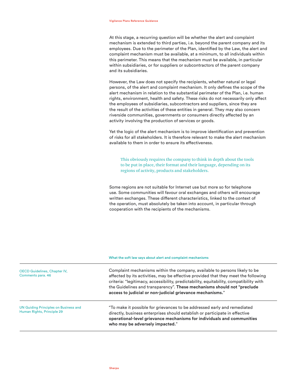At this stage, a recurring question will be whether the alert and complaint mechanism is extended to third parties, i.e. beyond the parent company and its employees. Due to the perimeter of the Plan, identified by the Law, the alert and complaint mechanism must be available, at a minimum, to all individuals within this perimeter. This means that the mechanism must be available, in particular within subsidiaries, or for suppliers or subcontractors of the parent company and its subsidiaries.

However, the Law does not specify the recipients, whether natural or legal persons, of the alert and complaint mechanism. It only defines the scope of the alert mechanism in relation to the substantial perimeter of the Plan, i.e. human rights, environment, health and safety. These risks do not necessarily only affect the employees of subsidiaries, subcontractors and suppliers, since they are the result of the activities of these entities in general. They may also concern riverside communities, governments or consumers directly affected by an activity involving the production of services or goods.

Yet the logic of the alert mechanism is to improve identification and prevention of risks for all stakeholders. It is therefore relevant to make the alert mechanism available to them in order to ensure its effectiveness.

This obviously requires the company to think in depth about the tools to be put in place, their format and their language, depending on its regions of activity, products and stakeholders.

Some regions are not suitable for Internet use but more so for telephone use. Some communities will favour oral exchanges and others will encourage written exchanges. These different characteristics, linked to the context of the operation, must absolutely be taken into account, in particular through cooperation with the recipients of the mechanisms.

|  |  |  |  | What the soft law says about alert and complaint mechanisms |
|--|--|--|--|-------------------------------------------------------------|
|--|--|--|--|-------------------------------------------------------------|

| <b>OECD Guidelines, Chapter IV,</b><br>Comments para, 46                   | Complaint mechanisms within the company, available to persons likely to be<br>affected by its activities, may be effective provided that they meet the following<br>criteria: "legitimacy, accessibility, predictability, equitability, compatibility with<br>the Guidelines and transparency". These mechanisms should not "preclude<br>access to judicial or non-judicial grievance mechanisms." |  |  |
|----------------------------------------------------------------------------|----------------------------------------------------------------------------------------------------------------------------------------------------------------------------------------------------------------------------------------------------------------------------------------------------------------------------------------------------------------------------------------------------|--|--|
| <b>UN Guiding Principles on Business and</b><br>Human Rights, Principle 29 | "To make it possible for grievances to be addressed early and remediated<br>directly, business enterprises should establish or participate in effective<br>operational-level grievance mechanisms for individuals and communities<br>who may be adversely impacted."                                                                                                                               |  |  |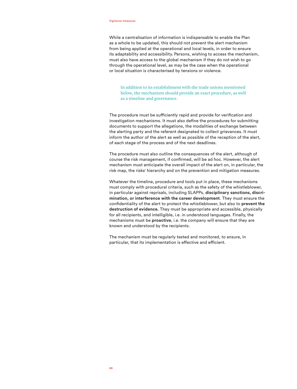While a centralisation of information is indispensable to enable the Plan as a whole to be updated, this should not prevent the alert mechanism from being applied at the operational and local levels, in order to ensure its adaptability and accessibility. Persons, wishing to access the mechanism, must also have access to the global mechanism if they do not wish to go through the operational level, as may be the case when the operational or local situation is characterised by tensions or violence.

In addition to its establishment with the trade unions mentioned below, the mechanism should provide an exact procedure, as well as a timeline and governance.

The procedure must be sufficiently rapid and provide for verification and investigation mechanisms. It must also define the procedures for submitting documents to support the allegations, the modalities of exchange between the alerting party and the referent designated to collect grievances. It must inform the author of the alert as well as possible of the reception of the alert, of each stage of the process and of the next deadlines.

The procedure must also outline the consequences of the alert, although of course the risk management, if confirmed, will be ad hoc. However, the alert mechanism must anticipate the overall impact of the alert on, in particular, the risk map, the risks' hierarchy and on the prevention and mitigation measures.

Whatever the timeline, procedure and tools put in place, these mechanisms must comply with procedural criteria, such as the safety of the whistleblower, in particular against reprisals, including SLAPPs, **disciplinary sanctions, discrimination, or interference with the career development**. They must ensure the confidentiality of the alert to protect the whistleblower, but also to **prevent the destruction of evidence.** They must be appropriate and accessible, physically for all recipients, and intelligible, i.e. in understood languages. Finally, the mechanisms must be **proactive**, i.e. the company will ensure that they are known and understood by the recipients.

The mechanism must be regularly tested and monitored, to ensure, in particular, that its implementation is effective and efficient.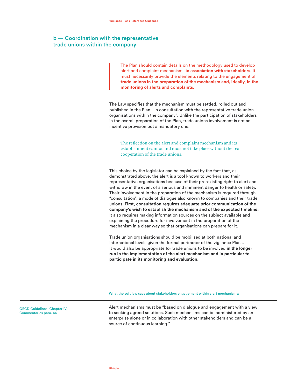# b — Coordination with the representative trade unions within the company

The Plan should contain details on the methodology used to develop alert and complaint mechanisms **in association with stakeholders**. It must necessarily provide the elements relating to the engagement of **trade unions in the preparation of the mechanism and, ideally, in the monitoring of alerts and complaints.**

The Law specifies that the mechanism must be settled, rolled out and published in the Plan, "in consultation with the representative trade union organisations within the company". Unlike the participation of stakeholders in the overall preparation of the Plan, trade unions involvement is not an incentive provision but a mandatory one.

The reflection on the alert and complaint mechanism and its establishment cannot and must not take place without the real cooperation of the trade unions.

This choice by the legislator can be explained by the fact that, as demonstrated above, the alert is a tool known to workers and their representative organisations because of their pre-existing right to alert and withdraw in the event of a serious and imminent danger to health or safety. Their involvement in the preparation of the mechanism is required through "consultation", a mode of dialogue also known to companies and their trade unions. **First, consultation requires adequate prior communication of the company's wish to establish the mechanism and of the expected timeline.** It also requires making information sources on the subject available and explaining the procedure for involvement in the preparation of the mechanism in a clear way so that organisations can prepare for it.

Trade union organisations should be mobilised at both national and international levels given the formal perimeter of the vigilance Plans. It would also be appropriate for trade unions to be involved **in the longer run in the implementation of the alert mechanism and in particular to participate in its monitoring and evaluation.**

What the soft law says about stakeholders engagement within alert mechanisms:

OECD Guidelines, Chapter IV, Commentaries para. 46

Alert mechanisms must be "based on dialogue and engagement with a view to seeking agreed solutions. Such mechanisms can be administered by an enterprise alone or in collaboration with other stakeholders and can be a source of continuous learning."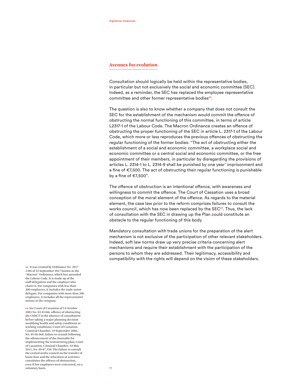#### Avenues for evolution

Consultation should logically be held within the representative bodies, in particular but not exclusively the social and economic committee (SEC). Indeed, as a reminder, the SEC has replaced the employee representative committee and other former representative bodies<sup>68</sup>.

The question is also to know whether a company that does not consult the SEC for the establishment of the mechanism would commit the offence of obstructing the normal functioning of this committee, in terms of article L2317-1 of the Labour Code. The Macron Ordinance creates an offence of obstructing the proper functioning of the SEC in article L. 2317-1 of the Labour Code, which more or less reproduces the previous offences of obstructing the regular functioning of the former bodies: "The act of obstructing either the establishment of a social and economic committee, a workplace social and economic committee or a central social and economic committee, or the free appointment of their members, in particular by disregarding the provisions of articles L. 2314-1 to L. 2314-9 shall be punished by one year' imprisonment and a fine of €7,500. The act of obstructing their regular functioning is punishable by a fine of €7,500".

The offence of obstruction is an intentional offence, with awareness and willingness to commit the offence. The Court of Cassation uses a broad conception of the moral element of the offence. As regards to the material element, the case law prior to the reform comprises failures to consult the works council, which has now been replaced by the SEC<sup>69</sup>. Thus, the lack of consultation with the SEC in drawing up the Plan could constitute an obstacle to the regular functioning of this body.

Mandatory consultation with trade unions for the preparation of the alert mechanism is not exclusive of the participation of other relevant stakeholders. Indeed, soft law norms draw up very precise criteria concerning alert mechanisms and require their establishment with the participation of the persons to whom they are addressed. Their legitimacy, accessibility and compatibility with the rights will depend on the vision of these stakeholders.

68. It was created by Ordinance No. 2017- 1386 of 22 September 2017 known as the "Macron" Ordinance, which has amended the Labour Code. It is made up of the staff delegation and the employer who chairs it. For companies with less than 300 employees, it includes the trade union delegate. For companies with more than 300 employees, it includes all the representative unions in the company.

69. See Court of Cassation of 14 October 2003 No. 03-81366: offence of obstructing the CHSCT in the absence of consultation before taking a major planning decision modifying health and safety conditions or working conditions; Court of Cassation, Criminal Chamber, 19 September 2006, No. 05-86.668: failure to consult following the advancement of the timetable for implementing the restructuring plan; Court of Cassation, Criminal Chamber, 10 May 2011, No. 09-87.558: The failure to consult the central works council on the transfer of know-how and the relocation of activities constitutes the offence of obstruction, even if few employees were concerned, on a voluntary basis.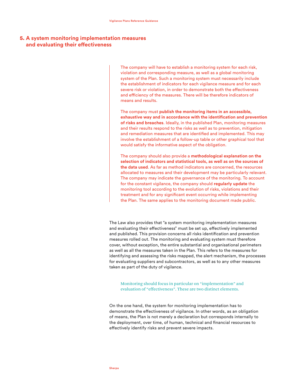# 5. **A system monitoring implementation measures and evaluating their effectiveness**

The company will have to establish a monitoring system for each risk, violation and corresponding measure, as well as a global monitoring system of the Plan. Such a monitoring system must necessarily include the establishment of indicators for each vigilance measure and for each severe risk or violation, in order to demonstrate both the effectiveness and efficiency of the measures. There will be therefore indicators of means and results.

The company must **publish the monitoring items in an accessible, exhaustive way and in accordance with the identification and prevention of risks and breaches**. Ideally, in the published Plan, monitoring measures and their results respond to the risks as well as to prevention, mitigation and remediation measures that are identified and implemented. This may involve the establishment of a follow-up table or other graphical tool that would satisfy the informative aspect of the obligation.

The company should also provide a **methodological explanation on the selection of indicators and statistical tools, as well as on the sources of the data used**. As far as method indicators are concerned, the resources allocated to measures and their development may be particularly relevant. The company may indicate the governance of the monitoring. To account for the constant vigilance, the company should **regularly update** the monitoring tool according to the evolution of risks, violations and their treatment and for any significant event occurring while implementing the Plan. The same applies to the monitoring document made public.

The Law also provides that "a system monitoring implementation measures and evaluating their effectiveness" must be set up, effectively implemented and published. This provision concerns all risks identification and prevention measures rolled out. The monitoring and evaluating system must therefore cover, without exception, the entire substantial and organisational perimeters as well as all the measures taken in the Plan. This refers to the measures for identifying and assessing the risks mapped, the alert mechanism, the processes for evaluating suppliers and subcontractors, as well as to any other measures taken as part of the duty of vigilance.

Monitoring should focus in particular on "implementation" and evaluation of "effectiveness". These are two distinct elements.

On the one hand, the system for monitoring implementation has to demonstrate the effectiveness of vigilance. In other words, as an obligation of means, the Plan is not merely a declaration but corresponds internally to the deployment, over time, of human, technical and financial resources to effectively identify risks and prevent severe impacts.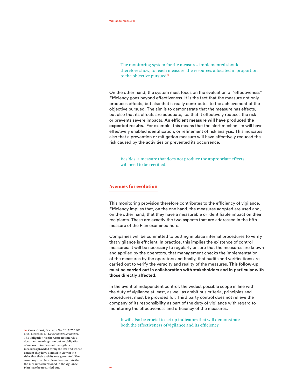The monitoring system for the measures implemented should therefore show, for each measure, the resources allocated in proportion to the objective pursued<sup>70</sup>.

On the other hand, the system must focus on the evaluation of "effectiveness". Efficiency goes beyond effectiveness. It is the fact that the measure not only produces effects, but also that it really contributes to the achievement of the objective pursued. The aim is to demonstrate that the measure has effects, but also that its effects are adequate, i.e. that it effectively reduces the risk or prevents severe impacts. **An efficient measure will have produced the expected results**. For example, this means that the alert mechanism will have effectively enabled identification, or refinement of risk analysis. This indicates also that a prevention or mitigation measure will have effectively reduced the risk caused by the activities or prevented its occurrence.

Besides, a measure that does not produce the appropriate effects will need to be rectified.

# Avenues for evolution

This monitoring provision therefore contributes to the efficiency of vigilance. Efficiency implies that, on the one hand, the measures adopted are used and, on the other hand, that they have a measurable or identifiable impact on their recipients. These are exactly the two aspects that are addressed in the fifth measure of the Plan examined here.

Companies will be committed to putting in place internal procedures to verify that vigilance is efficient. In practice, this implies the existence of control measures: it will be necessary to regularly ensure that the measures are known and applied by the operators, that management checks the implementation of the measures by the operators and finally, that audits and verifications are carried out to verify the veracity and reality of the measures. **This follow-up must be carried out in collaboration with stakeholders and in particular with those directly affected.**

In the event of independent control, the widest possible scope in line with the duty of vigilance at least, as well as ambitious criteria, principles and procedures, must be provided for. Third party control does not relieve the company of its responsibility as part of the duty of vigilance with regard to monitoring the effectiveness and efficiency of the measures.

It will also be crucial to set up indicators that will demonstrate both the effectiveness of vigilance and its efficiency.

70. Cons. Court, Decision No. 2017-750 DC of 23 March 2017, *Government Comments*, The obligation "is therefore not merely a documentary obligation but an obligation of means to implement the vigilance measures provided for by the law and whose content they have defined in view of the risks that their activity may generate". The company must be able to demonstrate that the measures mentioned in the vigilance Plan have been carried out.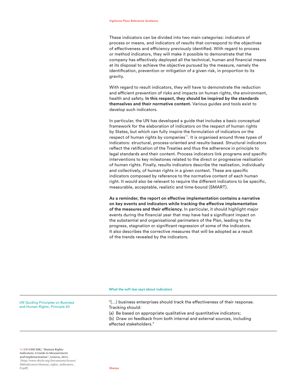These indicators can be divided into two main categories: indicators of process or means, and indicators of results that correspond to the objectives of effectiveness and efficiency previously identified. With regard to process or method indicators, they will make it possible to demonstrate that the company has effectively deployed all the technical, human and financial means at its disposal to achieve the objective pursued by the measure, namely the identification, prevention or mitigation of a given risk, in proportion to its gravity.

With regard to result indicators, they will have to demonstrate the reduction and efficient prevention of risks and impacts on human rights, the environment, health and safety. **In this respect, they should be inspired by the standards themselves and their normative content.** Various guides and tools exist to develop such indicators.

In particular, the UN has developed a guide that includes a basic conceptual framework for the elaboration of indicators on the respect of human rights by States, but which can fully inspire the formulation of indicators on the respect of human rights by companies<sup>71</sup>. It is organised around three types of indicators: structural, process-oriented and results-based. Structural indicators reflect the ratification of the Treaties and thus the adherence in principle to legal standards and their content. Process indicators link programs and specific interventions to key milestones related to the direct or progressive realisation of human rights. Finally, results indicators describe the realisation, individually and collectively, of human rights in a given context. These are specific indicators composed by reference to the normative content of each human right. It would also be relevant to require the different indicators to be specific, measurable, acceptable, realistic and time-bound (SMART).

**As a reminder, the report on effective implementation contains a narrative on key events and indicators while tracking the effective implementation of the measures and their efficiency.** In particular, it should highlight major events during the financial year that may have had a significant impact on the substantial and organisational perimeters of the Plan, leading to the progress, stagnation or significant regression of some of the indicators. It also describes the corrective measures that will be adopted as a result of the trends revealed by the indicators.

|                                                                            | What the soft law says about indicators                                    |
|----------------------------------------------------------------------------|----------------------------------------------------------------------------|
| <b>UN Guiding Principles on Business</b><br>and Human Rights, Principle 20 | "() business enterprises should track the effectiveness of their response. |
|                                                                            | Tracking should:                                                           |
|                                                                            | (a) Be based on appropriate qualitative and quantitative indicators;       |
|                                                                            | (b) Draw on feedback from both internal and external sources, including    |
|                                                                            | affected stakeholders."                                                    |
|                                                                            |                                                                            |

71. UN (OHCHR), "Human Rights Indicators: A Guide to Measurement and Implementation", Geneva, 2012, [[http://www.ohchr.org/Documents/Issues/](http://www.ohchr.org/Documents/Issues/HRIndicators/Human_rights_indicators_fr.pdf) [HRIndicators/Human\\_rights\\_indicators\\_](http://www.ohchr.org/Documents/Issues/HRIndicators/Human_rights_indicators_fr.pdf) [fr.pdf\]](http://www.ohchr.org/Documents/Issues/HRIndicators/Human_rights_indicators_fr.pdf)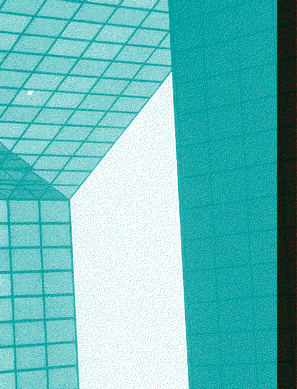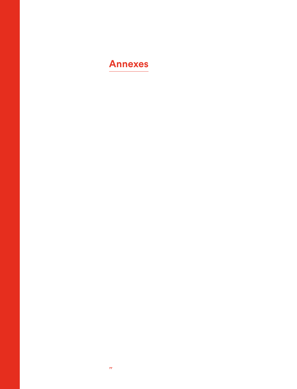# **Annexes**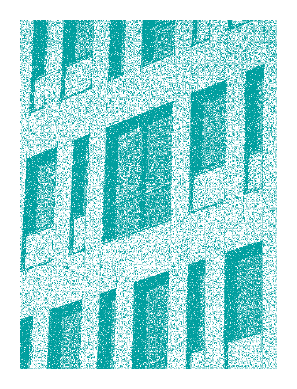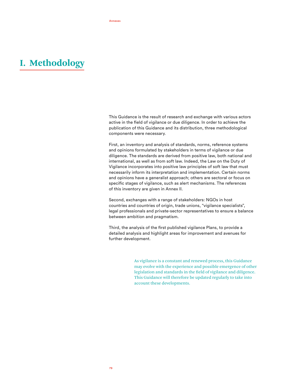# **I. Methodology**

This Guidance is the result of research and exchange with various actors active in the field of vigilance or due diligence. In order to achieve the publication of this Guidance and its distribution, three methodological components were necessary.

First, an inventory and analysis of standards, norms, reference systems and opinions formulated by stakeholders in terms of vigilance or due diligence. The standards are derived from positive law, both national and international, as well as from soft law. Indeed, the Law on the Duty of Vigilance incorporates into positive law principles of soft law that must necessarily inform its interpretation and implementation. Certain norms and opinions have a generalist approach; others are sectoral or focus on specific stages of vigilance, such as alert mechanisms. The references of this inventory are given in Annex II.

Second, exchanges with a range of stakeholders: NGOs in host countries and countries of origin, trade unions, "vigilance specialists", legal professionals and private-sector representatives to ensure a balance between ambition and pragmatism.

Third, the analysis of the first published vigilance Plans, to provide a detailed analysis and highlight areas for improvement and avenues for further development.

> As vigilance is a constant and renewed process, this Guidance may evolve with the experience and possible emergence of other legislation and standards in the field of vigilance and diligence. This Guidance will therefore be updated regularly to take into account these developments.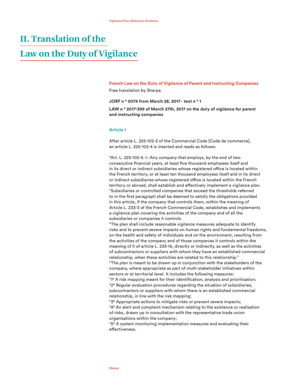# **II. Translation of the Law on the Duty of Vigilance**

#### **French Law on the Duty of Vigilance of Parent and Instructing Companies**

Free translation by Sherpa

**JORF n ° 0074 from March 28, 2017 - text n ° 1**

**LAW n ° 2017-399 of March 27th, 2017 on the duty of vigilance for parent and instructing companies**

#### **Article 1**

After article L. 225-102-3 of the Commercial Code [Code de commerce], an article L. 225-102-4 is inserted and reads as follows:

"Art. L. 225-102-4.-I.-Any company that employs, by the end of two consecutive financial years, at least five thousand employees itself and in its direct or indirect subsidiaries whose registered office is located within the French territory, or at least ten thousand employees itself and in its direct or indirect subsidiaries whose registered office is located within the French territory or abroad, shall establish and effectively implement a vigilance plan. "Subsidiaries or controlled companies that exceed the thresholds referred to in the first paragraph shall be deemed to satisfy the obligations provided in this article, if the company that controls them, within the meaning of Article L. 233-3 of the French Commercial Code, establishes and implements a vigilance plan covering the activities of the company and of all the subsidiaries or companies it controls.

"The plan shall include reasonable vigilance measures adequate to identify risks and to prevent severe impacts on human rights and fundamental freedoms, on the health and safety of individuals and on the environment, resulting from the activities of the company and of those companies it controls within the meaning of II of article L. 233-16, directly or indirectly, as well as the activities of subcontractors or suppliers with whom they have an established commercial relationship, when these activities are related to this relationship."

"The plan is meant to be drawn up in conjunction with the stakeholders of the company, where appropriate as part of multi-stakeholder initiatives within sectors or at territorial level. It includes the following measures:

"1° A risk mapping meant for their identification, analysis and prioritisation; "2° Regular evaluation procedures regarding the situation of subsidiaries, subcontractors or suppliers with whom there is an established commercial relationship, in line with the risk mapping;

"3° Appropriate actions to mitigate risks or prevent severe impacts; "4° An alert and complaint mechanism relating to the existence or realisation of risks, drawn up in consultation with the representative trade union organisations within the company;

"5° A system monitoring implementation measures and evaluating their effectiveness.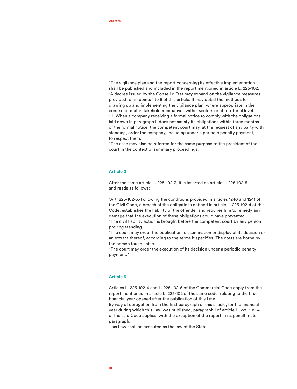"The vigilance plan and the report concerning its effective implementation shall be published and included in the report mentioned in article L. 225-102. "A decree issued by the Conseil d'Etat may expand on the vigilance measures provided for in points 1 to 5 of this article. It may detail the methods for drawing up and implementing the vigilance plan, where appropriate in the context of multi-stakeholder initiatives within sectors or at territorial level. "II.-When a company receiving a formal notice to comply with the obligations laid down in paragraph I, does not satisfy its obligations within three months of the formal notice, the competent court may, at the request of any party with standing, order the company, including under a periodic penalty payment, to respect them.

"The case may also be referred for the same purpose to the president of the court in the context of summary proceedings.

# **Article 2**

After the same article L. 225-102-3, it is inserted an article L. 225-102-5 and reads as follows:

"Art. 225-102-5.-Following the conditions provided in articles 1240 and 1241 of the Civil Code, a breach of the obligations defined in article L. 225-102-4 of this Code, establishes the liability of the offender and requires him to remedy any damage that the execution of these obligations could have prevented.

"The civil liability action is brought before the competent court by any person proving standing.

"The court may order the publication, dissemination or display of its decision or an extract thereof, according to the terms it specifies. The costs are borne by the person found liable.

"The court may order the execution of its decision under a periodic penalty payment."

# **Article 3**

Articles L. 225-102-4 and L. 225-102-5 of the Commercial Code apply from the report mentioned in article L. 225-102 of the same code, relating to the first financial year opened after the publication of this Law.

By way of derogation from the first paragraph of this article, for the financial year during which this Law was published, paragraph I of article L. 225-102-4 of the said Code applies, with the exception of the report in its penultimate paragraph.

This Law shall be executed as the law of the State.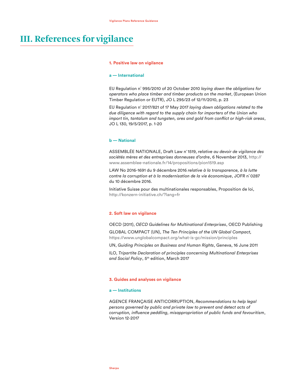# **III. References for vigilance**

#### **1. Positive law on vigilance**

#### **a — International**

EU Regulation n° 995/2010 of 20 October 2010 *laying down the obligations for operators who place timber and timber products on the market*, (European Union Timber Regulation or EUTR), JO L 295/23 of 12/11/2010, p. 23

EU Regulation n° 2017/821 of 17 May 2017 *laying down obligations related to the due diligence with regard to the supply chain for importers of the Union who import tin, tantalum and tungsten, ores and gold from conflict or high-risk areas*, JO L 130, 19/5/2017, p. 1-20

#### **b — National**

ASSEMBLÉE NATIONALE, Draft Law n° 1519, *relative au devoir de vigilance des sociétés mères et des entreprises donneuses d'ordre*, 6 November 2013, [http://](http://www.assemblee-nationale.fr/14/propositions/pion1519.asp) [www.assemblee-nationale.fr/14/propositions/pion1519.asp](http://www.assemblee-nationale.fr/14/propositions/pion1519.asp)

LAW No 2016-1691 du 9 décembre 2016 *relative à la transparence, à la lutte contre la corruption et à la modernisation de la vie économique*, JOFR n° 0287 du 10 décembre 2016.

Initiative Suisse pour des multinationales responsables, Proposition de loi, [http://konzern-initiative.ch/?lang=fr](http://konzern-initiative.ch/?lang=fr ) 

#### **2. Soft law on vigilance**

OECD (2011), *OECD Guidelines for Multinational Enterprises*, OECD Publishing

GLOBAL COMPACT (UN), *The Ten Principles of the UN Global Compact,*  <https://www.unglobalcompact.org/what-is-gc/mission/principles>

UN, *Guiding Principles on Business and Human Rights*, Geneva, 16 June 2011

ILO, *Tripartite Declaration of principles concerning Multinational Enterprises and Social Policy*, 5th edition, March 2017

#### **3. Guides and analyses on vigilance**

#### **a — Institutions**

AGENCE FRANÇAISE ANTICORRUPTION, *Recommendations to help legal persons governed by public and private law to prevent and detect acts of corruption, influence peddling, misappropriation of public funds and favouritism*, Version 12-2017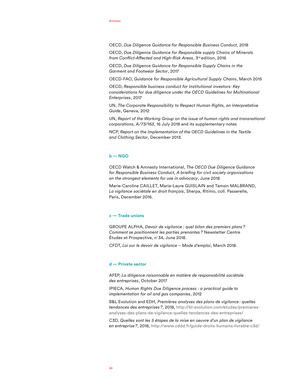OECD, *Due Diligence Guidance for Responsible Business Conduct*, 2018

OECD, *Due Diligence Guidance for Responsible supply Chains of Minerals from Conflict-Affected and High-Risk Areas*, 3<sup>rd</sup> edition, 2016

OECD, *Due Diligence Guidance for Responsible Supply Chains in the Garment and Footwear Sector*, 2017

OECD-FAO, *Guidance for Responsible Agricultural Supply Chains*, March 2015

OECD, *Responsible business conduct for institutional investors: Key considerations for due diligence under the OECD Guidelines for Multinational Enterprises*, 2017

UN, *The Corporate Responsibility to Respect Human Rights, an Interpretative Guide*, Geneva, 2012

UN, *Report of the Working Group on the issue of human rights and transnational corporations, A/73/163*, 16 July 2018 and its supplementary notes

NCP, *Report on the Implementation of the OECD Guidelines in the Textile and Clothing Sector*, December 2013.

# **b — NGO**

OECD Watch & Amnesty International, *The OECD Due Diligence Guidance for Responsible Business Conduct, A briefing for civil society organisations on the strongest elements for use in advocacy*, June 2018

Marie-Caroline CAILLET, Marie-Laure GUISLAIN and Tamsin MALBRAND, *La vigilance sociétale en droit français*, Sherpa, Ritimo, coll. Passerelle, Paris, December 2016.

# **c — Trade unions**

GROUPE ALPHA, *Devoir de vigilance : quel bilan des premiers plans ? Comment se positionnent les parties prenantes ?* Newsletter Centre Études et Prospective, n° 34, June 2018.

CFDT, *Loi sur le devoir de vigilance – Mode d'emploi*, March 2018.

#### **d — Private sector**

AFEP, *La diligence raisonnable en matière de responsabilité sociétale des entreprises*, October 2017

IPIECA, *Human Rights Due Diligence process : a practical guide to implementation for oil and gas companies*, 2012

B&L Evolution and EDH, *Premières analyses des plans de vigilance : quelles tendances des entreprises ?*, 2018[, http://bl-evolution.com/etudes/premieres]( http://bl-evolution.com/etudes/premieres-analyses-des-plans-de-vigilance-quelles-tendances-des-entr)[analyses-des-plans-de-vigilance-quelles-tendances-des-entreprises/]( http://bl-evolution.com/etudes/premieres-analyses-des-plans-de-vigilance-quelles-tendances-des-entr) 

C3D, *Quelles sont les 5 étapes de la mise en oeuvre d'un plan de vigilance en entreprise ?*, 2018, [http://www.cddd.fr/guide-droits-humains-livrable-c3d/](http://www.cddd.fr/guide-droits-humains-livrable-c3d/  )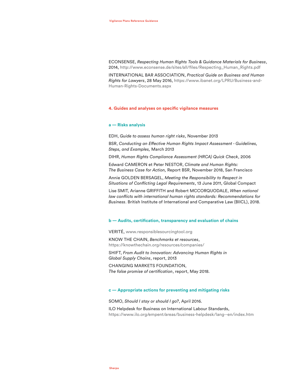ECONSENSE, *Respecting Human Rights Tools & Guidance Materials for Business*, 2014, [http://www.econsense.de/sites/all/files/Respecting\\_Human\\_Rights.pdf](http://www.econsense.de/sites/all/files/Respecting_Human_Rights.pdf  ) 

INTERNATIONAL BAR ASSOCIATION, *Practical Guide on Business and Human Rights for Lawyers*, 28 May 2016, [https://www.ibanet.org/LPRU/Business-and-](https://www.ibanet.org/LPRU/Business-and-Human-Rights-Documents.aspx   )[Human-Rights-Documents.aspx](https://www.ibanet.org/LPRU/Business-and-Human-Rights-Documents.aspx   ) 

#### **4. Guides and analyses on specific vigilance measures**

# **a — Risks analysis**

EDH, *Guide to assess human right risks*, November 2013

BSR, *Conducting an Effective Human Rights Impact Assessment - Guidelines, Steps, and Examples,* March 2013

DIHR, *Human Rights Compliance Assessment (HRCA) Quick Check*, 2006

Edward CAMERON et Peter NESTOR, *Climate and Human Rights: The Business Case for Action,* Report BSR, November 2018, San Francisco

Annie GOLDEN BERSAGEL, *Meeting the Responsibility to Respect in Situations of Conflicting Legal Requirements*, 13 June 2011, Global Compact

Lise SMIT, Arianne GRIFFITH and Robert MCCORQUODALE, *When national law conflicts with international human rights standards: Recommendations for Business*. British Institute of International and Comparative Law (BIICL), 2018.

# **b — Audits, certification, transparency and evaluation of chains**

VERITÉ, [www.responsiblesourcingtool.org](http://www.responsiblesourcingtool.org)

KNOW THE CHAIN, *Benchmarks et resources*, [https://knowthechain.org/resources/companies/](https://knowthechain.org/resources/companies/ ) 

SHIFT, *From Audit to Innovation: Advancing Human Rights in Global Supply Chains*, report, 2013

CHANGING MARKETS FOUNDATION, *The false promise of certification*, report, May 2018.

# **c — Appropriate actions for preventing and mitigating risks**

SOMO, *Should I stay or should I go?*, April 2016.

ILO Helpdesk for Business on International Labour Standards, <https://www.ilo.org/empent/areas/business-helpdesk/lang--en/index.htm>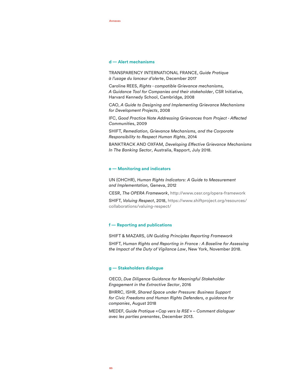# **d — Alert mechanisms**

TRANSPARENCY INTERNATIONAL FRANCE, *Guide Pratique à l'usage du lanceur d'alerte*, December 2017

Caroline REES, *Rights - compatible Grievance mechanisms, A Guidance Tool for Companies and their stakeholder*, CSR Initiative, Harvard Kennedy School, Cambridge, 2008

CAO, *A Guide to Designing and Implementing Grievance Mechanisms for Development Projects*, 2008

IFC, *Good Practice Note Addressing Grievances from Project - Affected Communitie*s, 2009

SHIFT, *Remediation, Grievance Mechanisms, and the Corporate Responsibility to Respect Human Rights*, 2014

BANKTRACK AND OXFAM*, Developing Effective Grievance Mechanisms In The Banking Sector*, Australia, Rapport, July 2018.

#### **e — Monitoring and indicators**

UN (OHCHR), *Human Rights Indicators: A Guide to Measurement and Implementation,* Geneva, 2012

CESR, *The OPERA Framework*, [http://www.cesr.org/opera-framework](http://www.cesr.org/opera-framework  ) 

SHIFT, *Valuing Respect*, 2018, [https://www.shiftproject.org/resources/](https://www.shiftproject.org/resources/collaborations/valuing-respect/ ) [collaborations/valuing-respect/](https://www.shiftproject.org/resources/collaborations/valuing-respect/ ) 

## **f — Reporting and publications**

SHIFT & MAZARS, *UN Guiding Principles Reporting Framework*

SHIFT, *Human Rights and Reporting in France : A Baseline for Assessing the Impact of the Duty of Vigilance Law*, New York, November 2018.

# **g — Stakeholders dialogue**

OECD, *Due Diligence Guidance for Meaningful Stakeholder Engagement in the Extractive Sector*, 2016

BHRRC, ISHR, *Shared Space under Pressure: Business Support for Civic Freedoms and Human Rights Defenders, a guidance for companies*, August 2018

MEDEF, *Guide Pratique* «*Cap vers la RSE*» *– Comment dialoguer avec les parties prenantes*, December 2013.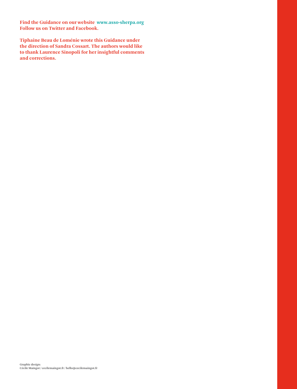**Find the Guidance on our website [www.asso-sherpa.org](http://www.asso-sherpa.org )  Follow us on Twitter and Facebook.** 

**Tiphaine Beau de Loménie wrote this Guidance under the direction of Sandra Cossart. The authors would like to thank Laurence Sinopoli for her insightful comments and corrections.**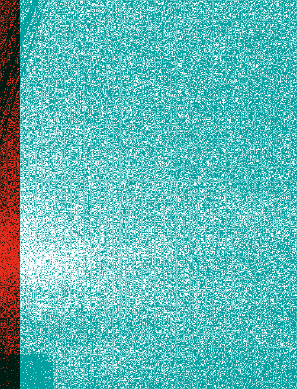